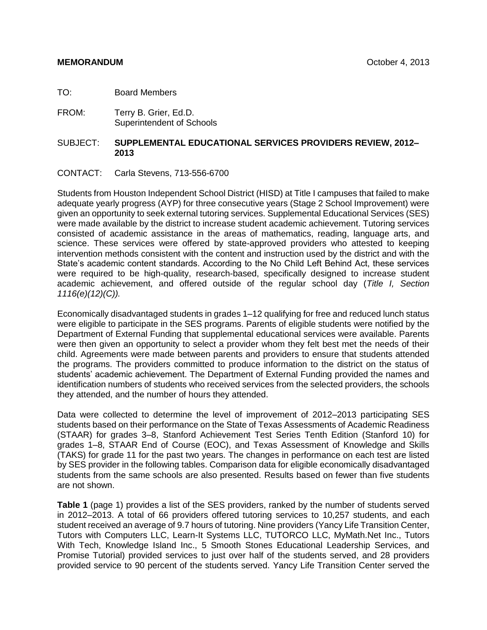TO: Board Members

FROM: Terry B. Grier, Ed.D. Superintendent of Schools

#### SUBJECT: **SUPPLEMENTAL EDUCATIONAL SERVICES PROVIDERS REVIEW, 2012– 2013**

#### CONTACT: Carla Stevens, 713-556-6700

Students from Houston Independent School District (HISD) at Title I campuses that failed to make adequate yearly progress (AYP) for three consecutive years (Stage 2 School Improvement) were given an opportunity to seek external tutoring services. Supplemental Educational Services (SES) were made available by the district to increase student academic achievement. Tutoring services consisted of academic assistance in the areas of mathematics, reading, language arts, and science. These services were offered by state-approved providers who attested to keeping intervention methods consistent with the content and instruction used by the district and with the State's academic content standards. According to the No Child Left Behind Act, these services were required to be high-quality, research-based, specifically designed to increase student academic achievement, and offered outside of the regular school day (*Title I, Section 1116(e)(12)(C)).*

Economically disadvantaged students in grades 1–12 qualifying for free and reduced lunch status were eligible to participate in the SES programs. Parents of eligible students were notified by the Department of External Funding that supplemental educational services were available. Parents were then given an opportunity to select a provider whom they felt best met the needs of their child. Agreements were made between parents and providers to ensure that students attended the programs. The providers committed to produce information to the district on the status of students' academic achievement. The Department of External Funding provided the names and identification numbers of students who received services from the selected providers, the schools they attended, and the number of hours they attended.

Data were collected to determine the level of improvement of 2012–2013 participating SES students based on their performance on the State of Texas Assessments of Academic Readiness (STAAR) for grades 3–8, Stanford Achievement Test Series Tenth Edition (Stanford 10) for grades 1–8, STAAR End of Course (EOC), and Texas Assessment of Knowledge and Skills (TAKS) for grade 11 for the past two years. The changes in performance on each test are listed by SES provider in the following tables. Comparison data for eligible economically disadvantaged students from the same schools are also presented. Results based on fewer than five students are not shown.

**Table 1** (page 1) provides a list of the SES providers, ranked by the number of students served in 2012–2013. A total of 66 providers offered tutoring services to 10,257 students, and each student received an average of 9.7 hours of tutoring. Nine providers (Yancy Life Transition Center, Tutors with Computers LLC, Learn-It Systems LLC, TUTORCO LLC, MyMath.Net Inc., Tutors With Tech, Knowledge Island Inc., 5 Smooth Stones Educational Leadership Services, and Promise Tutorial) provided services to just over half of the students served, and 28 providers provided service to 90 percent of the students served. Yancy Life Transition Center served the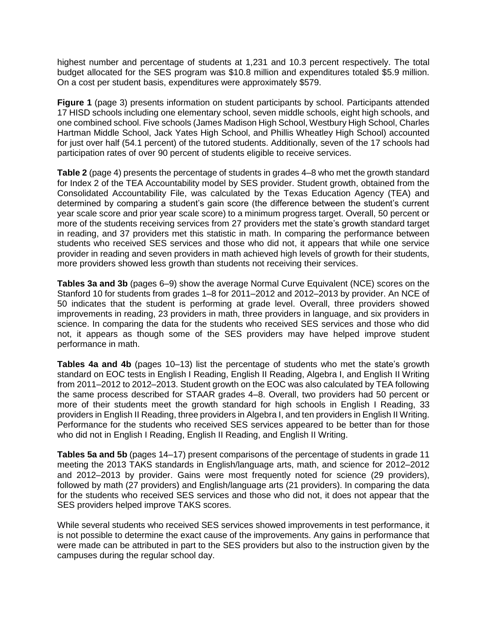highest number and percentage of students at 1,231 and 10.3 percent respectively. The total budget allocated for the SES program was \$10.8 million and expenditures totaled \$5.9 million. On a cost per student basis, expenditures were approximately \$579.

**Figure 1** (page 3) presents information on student participants by school. Participants attended 17 HISD schools including one elementary school, seven middle schools, eight high schools, and one combined school. Five schools (James Madison High School, Westbury High School, Charles Hartman Middle School, Jack Yates High School, and Phillis Wheatley High School) accounted for just over half (54.1 percent) of the tutored students. Additionally, seven of the 17 schools had participation rates of over 90 percent of students eligible to receive services.

**Table 2** (page 4) presents the percentage of students in grades 4–8 who met the growth standard for Index 2 of the TEA Accountability model by SES provider. Student growth, obtained from the Consolidated Accountability File, was calculated by the Texas Education Agency (TEA) and determined by comparing a student's gain score (the difference between the student's current year scale score and prior year scale score) to a minimum progress target. Overall, 50 percent or more of the students receiving services from 27 providers met the state's growth standard target in reading, and 37 providers met this statistic in math. In comparing the performance between students who received SES services and those who did not, it appears that while one service provider in reading and seven providers in math achieved high levels of growth for their students, more providers showed less growth than students not receiving their services.

**Tables 3a and 3b** (pages 6–9) show the average Normal Curve Equivalent (NCE) scores on the Stanford 10 for students from grades 1–8 for 2011–2012 and 2012–2013 by provider. An NCE of 50 indicates that the student is performing at grade level. Overall, three providers showed improvements in reading, 23 providers in math, three providers in language, and six providers in science. In comparing the data for the students who received SES services and those who did not, it appears as though some of the SES providers may have helped improve student performance in math.

**Tables 4a and 4b** (pages 10–13) list the percentage of students who met the state's growth standard on EOC tests in English I Reading, English II Reading, Algebra I, and English II Writing from 2011–2012 to 2012–2013. Student growth on the EOC was also calculated by TEA following the same process described for STAAR grades 4–8. Overall, two providers had 50 percent or more of their students meet the growth standard for high schools in English I Reading, 33 providers in English II Reading, three providers in Algebra I, and ten providers in English II Writing. Performance for the students who received SES services appeared to be better than for those who did not in English I Reading, English II Reading, and English II Writing.

**Tables 5a and 5b** (pages 14–17) present comparisons of the percentage of students in grade 11 meeting the 2013 TAKS standards in English/language arts, math, and science for 2012–2012 and 2012–2013 by provider. Gains were most frequently noted for science (29 providers), followed by math (27 providers) and English/language arts (21 providers). In comparing the data for the students who received SES services and those who did not, it does not appear that the SES providers helped improve TAKS scores.

While several students who received SES services showed improvements in test performance, it is not possible to determine the exact cause of the improvements. Any gains in performance that were made can be attributed in part to the SES providers but also to the instruction given by the campuses during the regular school day.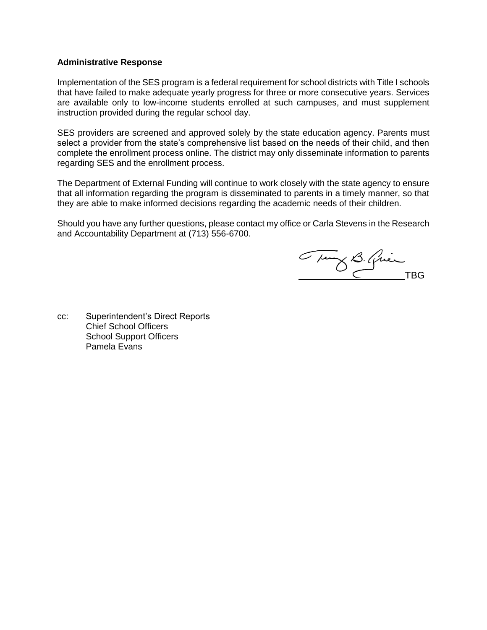#### **Administrative Response**

Implementation of the SES program is a federal requirement for school districts with Title I schools that have failed to make adequate yearly progress for three or more consecutive years. Services are available only to low-income students enrolled at such campuses, and must supplement instruction provided during the regular school day.

SES providers are screened and approved solely by the state education agency. Parents must select a provider from the state's comprehensive list based on the needs of their child, and then complete the enrollment process online. The district may only disseminate information to parents regarding SES and the enrollment process.

The Department of External Funding will continue to work closely with the state agency to ensure that all information regarding the program is disseminated to parents in a timely manner, so that they are able to make informed decisions regarding the academic needs of their children.

Should you have any further questions, please contact my office or Carla Stevens in the Research and Accountability Department at (713) 556-6700.

Tury B. Quien

cc: Superintendent's Direct Reports Chief School Officers School Support Officers Pamela Evans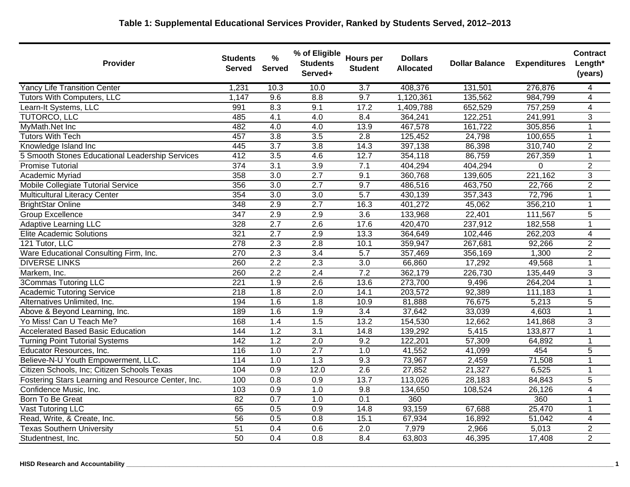## **Table 1: Supplemental Educational Services Provider, Ranked by Students Served, 2012–2013**

| <b>Provider</b>                                    | <b>Students</b><br><b>Served</b> | %<br><b>Served</b> | % of Eligible<br><b>Students</b><br>Served+ | <b>Hours per</b><br><b>Student</b> | <b>Dollars</b><br><b>Allocated</b> | <b>Dollar Balance</b> | <b>Expenditures</b> | Contract<br>Length*<br>(years) |
|----------------------------------------------------|----------------------------------|--------------------|---------------------------------------------|------------------------------------|------------------------------------|-----------------------|---------------------|--------------------------------|
| <b>Yancy Life Transition Center</b>                | 1,231                            | 10.3               | 10.0                                        | 3.7                                | 408,376                            | 131,501               | 276,876             | 4                              |
| <b>Tutors With Computers, LLC</b>                  | 1,147                            | 9.6                | 8.8                                         | 9.7                                | 1,120,361                          | 135,562               | 984,799             | $\overline{4}$                 |
| Learn-It Systems, LLC                              | 991                              | 8.3                | 9.1                                         | 17.2                               | 1,409,788                          | 652,529               | 757,259             | $\overline{4}$                 |
| TUTORCO, LLC                                       | 485                              | 4.1                | 4.0                                         | 8.4                                | 364,241                            | 122,251               | 241,991             | 3                              |
| MyMath.Net Inc                                     | 482                              | 4.0                | 4.0                                         | 13.9                               | 467,578                            | 161,722               | 305,856             | $\mathbf 1$                    |
| <b>Tutors With Tech</b>                            | 457                              | 3.8                | $\overline{3.5}$                            | 2.8                                | 125,452                            | 24,798                | 100,655             | 1                              |
| Knowledge Island Inc                               | 445                              | $\overline{3.7}$   | 3.8                                         | 14.3                               | 397,138                            | 86,398                | 310,740             | $\overline{2}$                 |
| 5 Smooth Stones Educational Leadership Services    | 412                              | 3.5                | 4.6                                         | 12.7                               | 354,118                            | 86,759                | 267,359             | $\overline{1}$                 |
| <b>Promise Tutorial</b>                            | 374                              | 3.1                | $\overline{3.9}$                            | 7.1                                | 404,294                            | 404,294               | 0                   | $\overline{2}$                 |
| Academic Myriad                                    | 358                              | 3.0                | 2.7                                         | 9.1                                | 360,768                            | 139,605               | 221,162             | $\overline{3}$                 |
| Mobile Collegiate Tutorial Service                 | 356                              | $\overline{3.0}$   | 2.7                                         | 9.7                                | 486,516                            | 463,750               | 22,766              | $\overline{2}$                 |
| <b>Multicultural Literacy Center</b>               | 354                              | 3.0                | 3.0                                         | $\overline{5.7}$                   | 430,139                            | 357,343               | 72,796              | 1                              |
| <b>BrightStar Online</b>                           | 348                              | 2.9                | 2.7                                         | 16.3                               | 401,272                            | 45,062                | 356,210             | $\mathbf{1}$                   |
| <b>Group Excellence</b>                            | 347                              | 2.9                | 2.9                                         | $\overline{3.6}$                   | 133,968                            | 22,401                | 111,567             | 5                              |
| <b>Adaptive Learning LLC</b>                       | 328                              | $\overline{2.7}$   | $\overline{2.6}$                            | 17.6                               | 420,470                            | 237,912               | 182,558             | $\mathbf{1}$                   |
| <b>Elite Academic Solutions</b>                    | 321                              | 2.7                | 2.9                                         | 13.3                               | 364,649                            | 102,446               | 262,203             | 4                              |
| 121 Tutor, LLC                                     | 278                              | 2.3                | 2.8                                         | 10.1                               | 359,947                            | 267,681               | 92,266              | $\overline{c}$                 |
| Ware Educational Consulting Firm, Inc.             | $\overline{270}$                 | 2.3                | $\overline{3.4}$                            | $\overline{5.7}$                   | 357,469                            | 356,169               | 1,300               | $\overline{2}$                 |
| <b>DIVERSE LINKS</b>                               | 260                              | 2.2                | 2.3                                         | $\overline{3.0}$                   | 66,860                             | 17,292                | 49,568              | $\mathbf{1}$                   |
| Markem, Inc.                                       | 260                              | $\overline{2.2}$   | $\overline{2.4}$                            | 7.2                                | 362,179                            | 226,730               | 135,449             | 3                              |
| <b>3Commas Tutoring LLC</b>                        | 221                              | 1.9                | 2.6                                         | 13.6                               | 273,700                            | 9,496                 | 264,204             | 1                              |
| <b>Academic Tutoring Service</b>                   | $\overline{218}$                 | 1.8                | $\overline{2.0}$                            | 14.1                               | 203,572                            | 92,389                | 111,183             | 1                              |
| Alternatives Unlimited, Inc.                       | 194                              | 1.6                | 1.8                                         | 10.9                               | 81,888                             | 76,675                | 5,213               | 5                              |
| Above & Beyond Learning, Inc.                      | 189                              | 1.6                | 1.9                                         | 3.4                                | 37,642                             | 33,039                | 4,603               | 1                              |
| Yo Miss! Can U Teach Me?                           | 168                              | 1.4                | 1.5                                         | 13.2                               | 154,530                            | 12,662                | 141,868             | 3                              |
| <b>Accelerated Based Basic Education</b>           | 144                              | 1.2                | 3.1                                         | 14.8                               | 139,292                            | 5,415                 | 133,877             | $\mathbf{1}$                   |
| <b>Turning Point Tutorial Systems</b>              | $\overline{142}$                 | 1.2                | $\overline{2.0}$                            | 9.2                                | 122,201                            | 57,309                | 64,892              | 1                              |
| Educator Resources, Inc.                           | 116                              | 1.0                | 2.7                                         | 1.0                                | 41,552                             | 41,099                | 454                 | 5                              |
| Believe-N-U Youth Empowerment, LLC.                | 114                              | 1.0                | 1.3                                         | 9.3                                | 73,967                             | 2,459                 | 71,508              | 1                              |
| Citizen Schools, Inc; Citizen Schools Texas        | 104                              | $\overline{0.9}$   | 12.0                                        | 2.6                                | 27,852                             | 21,327                | 6,525               | 1                              |
| Fostering Stars Learning and Resource Center, Inc. | 100                              | 0.8                | $\overline{0.9}$                            | $\overline{13.7}$                  | 113,026                            | 28,183                | 84,843              | 5                              |
| Confidence Music, Inc.                             | 103                              | 0.9                | 1.0                                         | 9.8                                | 134,650                            | 108,524               | 26,126              | 4                              |
| Born To Be Great                                   | 82                               | 0.7                | 1.0                                         | 0.1                                | 360                                |                       | 360                 | 1                              |
| Vast Tutoring LLC                                  | 65                               | 0.5                | 0.9                                         | 14.8                               | 93,159                             | 67,688                | 25,470              | $\mathbf{1}$                   |
| Read, Write, & Create, Inc.                        | 56                               | 0.5                | 0.8                                         | 15.1                               | 67,934                             | 16,892                | 51,042              | $\overline{4}$                 |
| <b>Texas Southern University</b>                   | $\overline{51}$                  | 0.4                | 0.6                                         | $\overline{2.0}$                   | 7,979                              | 2,966                 | 5,013               | $\overline{2}$                 |
| Studentnest, Inc.                                  | 50                               | 0.4                | 0.8                                         | 8.4                                | 63,803                             | 46,395                | 17,408              | $\overline{2}$                 |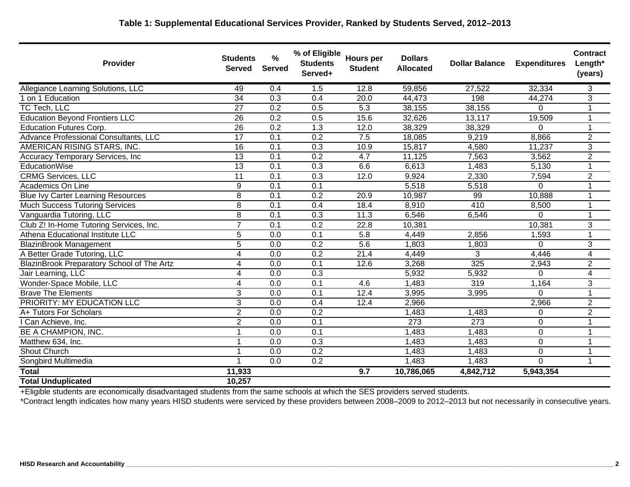## **Table 1: Supplemental Educational Services Provider, Ranked by Students Served, 2012–2013**

| <b>Provider</b>                            | <b>Students</b><br><b>Served</b> | $\frac{9}{6}$<br><b>Served</b> | % of Eligible<br><b>Students</b><br>Served+ | <b>Hours per</b><br><b>Student</b> | <b>Dollars</b><br><b>Allocated</b> | <b>Dollar Balance</b> | <b>Expenditures</b> | <b>Contract</b><br>Length*<br>(years) |
|--------------------------------------------|----------------------------------|--------------------------------|---------------------------------------------|------------------------------------|------------------------------------|-----------------------|---------------------|---------------------------------------|
| Allegiance Learning Solutions, LLC         | 49                               | 0.4                            | 1.5                                         | 12.8                               | 59,856                             | 27,522                | 32,334              | 3                                     |
| 1 on 1 Education                           | 34                               | $\overline{0.3}$               | 0.4                                         | 20.0                               | 44,473                             | 198                   | 44,274              | $\overline{3}$                        |
| TC Tech, LLC                               | $\overline{27}$                  | 0.2                            | 0.5                                         | 5.3                                | 38,155                             | 38,155                | 0                   | 1                                     |
| <b>Education Beyond Frontiers LLC</b>      | 26                               | $\overline{0.2}$               | 0.5                                         | 15.6                               | 32,626                             | 13,117                | 19,509              | 1                                     |
| <b>Education Futures Corp.</b>             | $\overline{26}$                  | 0.2                            | $\overline{1.3}$                            | 12.0                               | 38,329                             | 38,329                | 0                   | 1                                     |
| Advance Professional Consultants, LLC      | $\overline{17}$                  | $\overline{0.1}$               | 0.2                                         | 7.5                                | 18,085                             | 9,219                 | 8,866               | $\overline{2}$                        |
| AMERICAN RISING STARS, INC.                | $\overline{16}$                  | 0.1                            | 0.3                                         | 10.9                               | 15,817                             | 4,580                 | 11,237              | 3                                     |
| Accuracy Temporary Services, Inc           | 13                               | $\overline{0.1}$               | 0.2                                         | 4.7                                | 11,125                             | 7,563                 | 3,562               | $\overline{2}$                        |
| <b>EducationWise</b>                       | 13                               | $\overline{0.1}$               | 0.3                                         | 6.6                                | 6,613                              | 1,483                 | 5,130               | $\mathbf{1}$                          |
| <b>CRMG Services, LLC</b>                  | $\overline{11}$                  | $\overline{0.1}$               | 0.3                                         | 12.0                               | 9,924                              | 2,330                 | 7,594               | $\overline{2}$                        |
| Academics On Line                          | 9                                | 0.1                            | $\overline{0.1}$                            |                                    | 5,518                              | 5,518                 | 0                   | 1                                     |
| <b>Blue Ivy Carter Learning Resources</b>  | $\overline{8}$                   | $\overline{0.1}$               | 0.2                                         | 20.9                               | 10,987                             | $\overline{99}$       | 10,888              | 1                                     |
| <b>Much Success Tutoring Services</b>      | 8                                | 0.1                            | 0.4                                         | 18.4                               | 8,910                              | 410                   | 8,500               | 1                                     |
| Vanguardia Tutoring, LLC                   | $\overline{8}$                   | 0.1                            | $\overline{0.3}$                            | 11.3                               | 6,546                              | 6,546                 | $\Omega$            | 1                                     |
| Club Z! In-Home Tutoring Services, Inc.    | $\overline{7}$                   | 0.1                            | $\overline{0.2}$                            | 22.8                               | 10,381                             |                       | 10,381              | 3                                     |
| Athena Educational Institute LLC           | 5                                | 0.0                            | $\overline{0.1}$                            | 5.8                                | 4,449                              | 2,856                 | 1,593               | $\mathbf{1}$                          |
| <b>BlazinBrook Management</b>              | $\overline{5}$                   | 0.0                            | 0.2                                         | 5.6                                | 1,803                              | 1,803                 | 0                   | $\overline{3}$                        |
| A Better Grade Tutoring, LLC               | 4                                | 0.0                            | 0.2                                         | 21.4                               | 4,449                              | 3                     | 4,446               | 4                                     |
| BlazinBrook Preparatory School of The Artz | 4                                | 0.0                            | 0.1                                         | 12.6                               | 3,268                              | 325                   | 2,943               | $\overline{2}$                        |
| Jair Learning, LLC                         | 4                                | 0.0                            | 0.3                                         |                                    | 5,932                              | 5,932                 | 0                   | 4                                     |
| Wonder-Space Mobile, LLC                   | 4                                | 0.0                            | $\overline{0.1}$                            | 4.6                                | 1,483                              | $\overline{319}$      | 1,164               | $\overline{3}$                        |
| <b>Brave The Elements</b>                  | 3                                | 0.0                            | 0.1                                         | 12.4                               | 3,995                              | 3,995                 | $\Omega$            | $\mathbf{1}$                          |
| <b>PRIORITY: MY EDUCATION LLC</b>          | 3                                | 0.0                            | 0.4                                         | 12.4                               | 2,966                              |                       | 2,966               | $\overline{2}$                        |
| A+ Tutors For Scholars                     | $\overline{2}$                   | 0.0                            | 0.2                                         |                                    | 1,483                              | 1,483                 | 0                   | $\overline{2}$                        |
| I Can Achieve, Inc.                        | $\overline{2}$                   | 0.0                            | 0.1                                         |                                    | 273                                | $\overline{273}$      | 0                   | 1                                     |
| <b>BE A CHAMPION, INC.</b>                 |                                  | 0.0                            | 0.1                                         |                                    | 1,483                              | 1,483                 | $\overline{0}$      | 1                                     |
| Matthew 634, Inc.                          |                                  | 0.0                            | 0.3                                         |                                    | 1,483                              | 1,483                 | 0                   | 1                                     |
| <b>Shout Church</b>                        |                                  | 0.0                            | 0.2                                         |                                    | 1,483                              | 1,483                 | 0                   | 1                                     |
| Songbird Multimedia                        |                                  | $\overline{0.0}$               | 0.2                                         |                                    | 1,483                              | 1,483                 | $\overline{0}$      | 1                                     |
| <b>Total</b>                               | 11,933                           |                                |                                             | 9.7                                | 10,786,065                         | 4,842,712             | 5,943,354           |                                       |
| <b>Total Unduplicated</b>                  | 10,257                           |                                |                                             |                                    |                                    |                       |                     |                                       |

+Eligible students are economically disadvantaged students from the same schools at which the SES providers served students.

\*Contract length indicates how many years HISD students were serviced by these providers between 2008–2009 to 2012–2013 but not necessarily in consecutive years.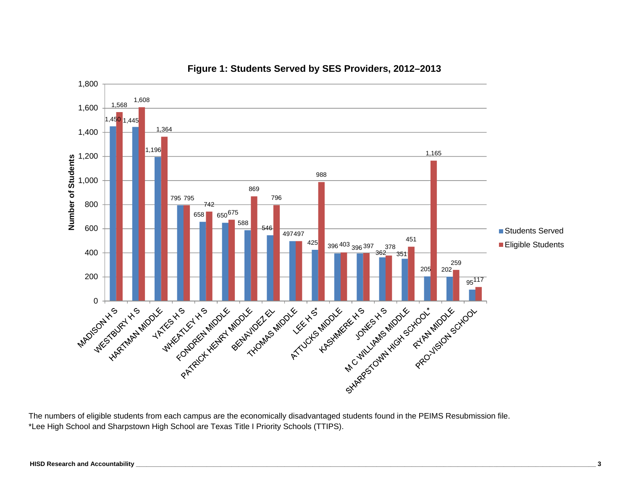

#### **Figure 1: Students Served by SES Providers, 2012–2013**

The numbers of eligible students from each campus are the economically disadvantaged students found in the PEIMS Resubmission file. \*Lee High School and Sharpstown High School are Texas Title I Priority Schools (TTIPS).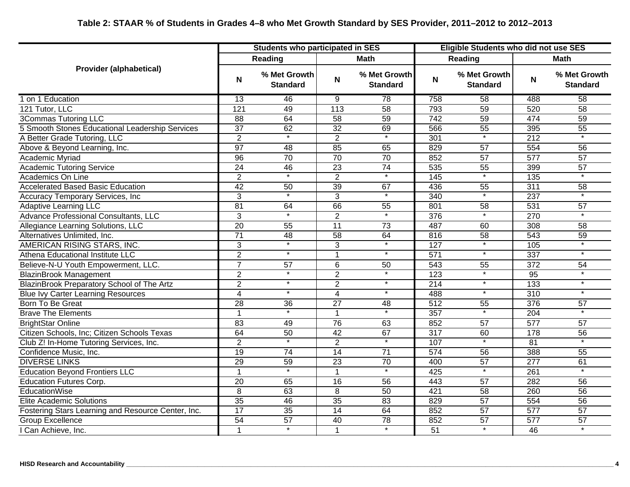|                                                    |                 | <b>Students who participated in SES</b> |                 |                                 |                  |                                 | Eligible Students who did not use SES |                                 |
|----------------------------------------------------|-----------------|-----------------------------------------|-----------------|---------------------------------|------------------|---------------------------------|---------------------------------------|---------------------------------|
|                                                    |                 | Reading                                 |                 | Math                            |                  | Reading                         |                                       | <b>Math</b>                     |
| <b>Provider (alphabetical)</b>                     | N               | % Met Growth<br><b>Standard</b>         | N               | % Met Growth<br><b>Standard</b> | N                | % Met Growth<br><b>Standard</b> | N                                     | % Met Growth<br><b>Standard</b> |
| 1 on 1 Education                                   | $\overline{13}$ | 46                                      | $\overline{9}$  | 78                              | 758              | 58                              | 488                                   | 58                              |
| 121 Tutor, LLC                                     | 121             | 49                                      | 113             | $\overline{58}$                 | 793              | 59                              | 520                                   | $\overline{58}$                 |
| 3Commas Tutoring LLC                               | 88              | 64                                      | 58              | 59                              | 742              | 59                              | 474                                   | 59                              |
| 5 Smooth Stones Educational Leadership Services    | $\overline{37}$ | 62                                      | $\overline{32}$ | 69                              | 566              | 55                              | 395                                   | $\overline{55}$                 |
| A Better Grade Tutoring, LLC                       | $\overline{2}$  | $\star$                                 | $\overline{2}$  | $\overline{\ast}$               | 301              | $\star$                         | 212                                   |                                 |
| Above & Beyond Learning, Inc.                      | 97              | $\overline{48}$                         | 85              | 65                              | 829              | $\overline{57}$                 | 554                                   | $\overline{56}$                 |
| Academic Myriad                                    | $\overline{96}$ | 70                                      | $\overline{70}$ | $\overline{70}$                 | 852              | $\overline{57}$                 | $\overline{577}$                      | $\overline{57}$                 |
| <b>Academic Tutoring Service</b>                   | $\overline{24}$ | 46                                      | $\overline{23}$ | $\overline{74}$                 | 535              | 55                              | 399                                   | 57                              |
| <b>Academics On Line</b>                           | $\overline{2}$  | $\overline{\ast}$                       | $\overline{2}$  | $\ast$                          | 145              | $\overline{\phantom{a}}$        | 135                                   | $\overline{\ast}$               |
| <b>Accelerated Based Basic Education</b>           | 42              | 50                                      | 39              | 67                              | 436              | 55                              | 311                                   | 58                              |
| <b>Accuracy Temporary Services, Inc</b>            | 3               | $\ast$                                  | 3               | $\ast$                          | 340              | $\ast$                          | $\overline{237}$                      | $\star$                         |
| <b>Adaptive Learning LLC</b>                       | $\overline{81}$ | 64                                      | 66              | 55                              | 801              | 58                              | 531                                   | 57                              |
| Advance Professional Consultants, LLC              | 3               |                                         | $\overline{2}$  | $\overline{\ast}$               | 376              | $\overline{\ast}$               | 270                                   |                                 |
| Allegiance Learning Solutions, LLC                 | 20              | 55                                      | 11              | $\overline{73}$                 | 487              | 60                              | 308                                   | $\overline{58}$                 |
| Alternatives Unlimited, Inc.                       | $\overline{71}$ | 48                                      | 58              | 64                              | 816              | 58                              | 543                                   | 59                              |
| AMERICAN RISING STARS, INC.                        | 3               | $\ast$                                  | 3               | $\ast$                          | 127              | $\ast$                          | 105                                   |                                 |
| Athena Educational Institute LLC                   | $\overline{2}$  | $\star$                                 | $\overline{1}$  | $\star$                         | 571              | $^\star$                        | 337                                   |                                 |
| Believe-N-U Youth Empowerment, LLC.                | $\overline{7}$  | $\overline{57}$                         | $\overline{6}$  | 50                              | 543              | 55                              | $\overline{372}$                      | 54                              |
| <b>BlazinBrook Management</b>                      | $\overline{2}$  | $\star$                                 | $\overline{2}$  | $\star$                         | 123              | $\star$                         | $\overline{95}$                       |                                 |
| BlazinBrook Preparatory School of The Artz         | $\overline{2}$  | $\ast$                                  | $\overline{2}$  | $\ast$                          | 214              | $\overline{\ast}$               | 133                                   | $\overline{\ast}$               |
| <b>Blue Ivy Carter Learning Resources</b>          | $\overline{4}$  | $\star$                                 | $\overline{4}$  | $\star$                         | 488              | $\star$                         | $\overline{310}$                      | $\star$                         |
| Born To Be Great                                   | $\overline{28}$ | $\overline{36}$                         | $\overline{27}$ | 48                              | $\overline{512}$ | 55                              | $\overline{376}$                      | $\overline{57}$                 |
| <b>Brave The Elements</b>                          |                 | $\overline{\phantom{a}}$                | $\mathbf{1}$    | $\overline{\phantom{a}}$        | 357              | $\overline{\phantom{a}}$        | 204                                   |                                 |
| <b>BrightStar Online</b>                           | 83              | 49                                      | $\overline{76}$ | 63                              | 852              | 57                              | $\overline{577}$                      | 57                              |
| Citizen Schools, Inc; Citizen Schools Texas        | 64              | 50                                      | 42              | 67                              | $\overline{317}$ | 60                              | 178                                   | 56                              |
| Club Z! In-Home Tutoring Services, Inc.            | $\overline{2}$  |                                         | $\overline{2}$  | $\overline{\ast}$               | 107              |                                 | 81                                    |                                 |
| Confidence Music, Inc.                             | 19              | $\overline{74}$                         | 14              | $\overline{71}$                 | $\overline{574}$ | 56                              | 388                                   | $\overline{55}$                 |
| <b>DIVERSE LINKS</b>                               | 29              | 59                                      | $\overline{23}$ | 70                              | 400              | 57                              | 277                                   | 61                              |
| <b>Education Beyond Frontiers LLC</b>              | 1               | $\ast$                                  | $\mathbf 1$     | $\ast$                          | 425              | $\overline{\phantom{a}}$        | 261                                   |                                 |
| <b>Education Futures Corp.</b>                     | $\overline{20}$ | 65                                      | 16              | 56                              | 443              | 57                              | 282                                   | $\overline{56}$                 |
| EducationWise                                      | 8               | 63                                      | 8               | 50                              | 421              | 58                              | 260                                   | 56                              |
| <b>Elite Academic Solutions</b>                    | 35              | 46                                      | 35              | 83                              | 829              | 57                              | 554                                   | 56                              |
| Fostering Stars Learning and Resource Center, Inc. | 17              | 35                                      | 14              | 64                              | 852              | $\overline{57}$                 | 577                                   | 57                              |
| <b>Group Excellence</b>                            | 54              | 57                                      | 40              | 78                              | 852              | 57                              | 577                                   | $\overline{57}$                 |
| I Can Achieve, Inc.                                | 1               | $\ast$                                  | $\mathbf{1}$    | $\overline{\phantom{0}}$        | 51               | $\overline{\phantom{0}}$        | $\overline{46}$                       | $\overline{\ast}$               |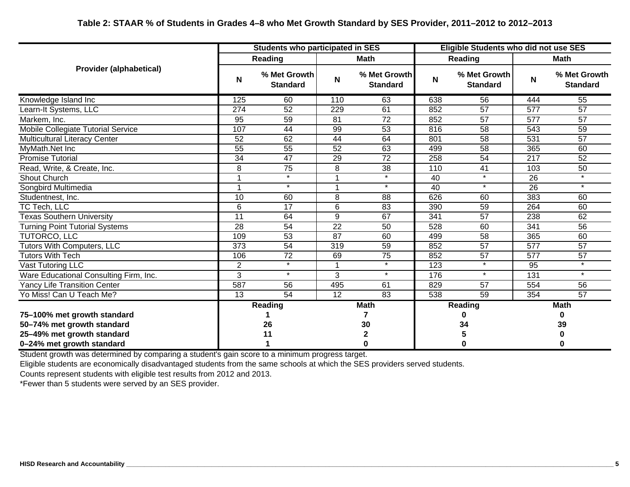|                                        | <b>Students who participated in SES</b> |                                 |                 |                                 |             | <b>Eligible Students who did not use SES</b> |                  |                                 |  |  |  |
|----------------------------------------|-----------------------------------------|---------------------------------|-----------------|---------------------------------|-------------|----------------------------------------------|------------------|---------------------------------|--|--|--|
|                                        |                                         | <b>Reading</b>                  |                 | Math                            |             | Reading                                      |                  | Math                            |  |  |  |
| <b>Provider (alphabetical)</b>         | N                                       | % Met Growth<br><b>Standard</b> | N               | % Met Growth<br><b>Standard</b> | $\mathbf N$ | % Met Growth<br><b>Standard</b>              | N                | % Met Growth<br><b>Standard</b> |  |  |  |
| Knowledge Island Inc                   | 125                                     | 60                              | 110             | 63                              | 638         | 56                                           | 444              | 55                              |  |  |  |
| Learn-It Systems, LLC                  | $\overline{274}$                        | $\overline{52}$                 | 229             | 61                              | 852         | $\overline{57}$                              | $\overline{577}$ | 57                              |  |  |  |
| Markem, Inc.                           | 95                                      | 59                              | 81              | $\overline{72}$                 | 852         | 57                                           | 577              | 57                              |  |  |  |
| Mobile Collegiate Tutorial Service     | 107                                     | 44                              | 99              | 53                              | 816         | 58                                           | 543              | 59                              |  |  |  |
| <b>Multicultural Literacy Center</b>   | $\overline{52}$                         | 62                              | 44              | 64                              | 801         | $\overline{58}$                              | 531              | $\overline{57}$                 |  |  |  |
| MyMath.Net Inc                         | 55                                      | 55                              | 52              | 63                              | 499         | 58                                           | 365              | 60                              |  |  |  |
| <b>Promise Tutorial</b>                | 34                                      | $\overline{47}$                 | 29              | $\overline{72}$                 | 258         | 54                                           | 217              | $\overline{52}$                 |  |  |  |
| Read, Write, & Create, Inc.            | 8                                       | $\overline{75}$                 | 8               | 38                              | 110         | 41                                           | 103              | 50                              |  |  |  |
| Shout Church                           |                                         | $\overline{\ast}$               |                 | $\star$                         | 40          | $\star$                                      | 26               |                                 |  |  |  |
| Songbird Multimedia                    |                                         | $\star$                         |                 | $\star$                         | 40          | $\star$                                      | $\overline{26}$  | $\star$                         |  |  |  |
| Studentnest, Inc.                      | $\overline{10}$                         | 60                              | $\overline{8}$  | $\overline{88}$                 | 626         | 60                                           | 383              | 60                              |  |  |  |
| $\overline{{\sf TC}}$ Tech, LLC        | 6                                       | 17                              | 6               | 83                              | 390         | 59                                           | 264              | 60                              |  |  |  |
| <b>Texas Southern University</b>       | 11                                      | 64                              | 9               | 67                              | 341         | 57                                           | 238              | 62                              |  |  |  |
| <b>Turning Point Tutorial Systems</b>  | 28                                      | 54                              | $\overline{22}$ | 50                              | 528         | 60                                           | 341              | 56                              |  |  |  |
| TUTORCO, LLC                           | 109                                     | 53                              | 87              | 60                              | 499         | 58                                           | 365              | 60                              |  |  |  |
| <b>Tutors With Computers, LLC</b>      | $\overline{373}$                        | $\overline{54}$                 | 319             | 59                              | 852         | $\overline{57}$                              | $\overline{577}$ | $\overline{57}$                 |  |  |  |
| <b>Tutors With Tech</b>                | 106                                     | 72                              | 69              | 75                              | 852         | 57                                           | 577              | 57                              |  |  |  |
| Vast Tutoring LLC                      | $\overline{2}$                          | $\star$                         |                 | $\star$                         | 123         | $\star$                                      | 95               | $\star$                         |  |  |  |
| Ware Educational Consulting Firm, Inc. | 3                                       | $\star$                         | 3               | $\star$                         | 176         | $\star$                                      | 131              | $\star$                         |  |  |  |
| <b>Yancy Life Transition Center</b>    | 587                                     | 56                              | 495             | 61                              | 829         | 57                                           | 554              | 56                              |  |  |  |
| Yo Miss! Can U Teach Me?               | $\overline{13}$                         | 54                              | $\overline{12}$ | 83                              | 538         | $\overline{59}$                              | 354              | $\overline{57}$                 |  |  |  |
|                                        |                                         | <b>Reading</b>                  |                 | <b>Math</b>                     |             | <b>Reading</b>                               |                  | <b>Math</b>                     |  |  |  |
| 75-100% met growth standard            |                                         |                                 |                 |                                 |             | 0                                            |                  | 0                               |  |  |  |
| 50-74% met growth standard             |                                         | 26                              |                 | 30                              |             | 34                                           | 39               |                                 |  |  |  |
| 25-49% met growth standard             |                                         | 11                              |                 | 2                               |             | 5                                            |                  |                                 |  |  |  |
| 0-24% met growth standard              |                                         |                                 |                 | 0                               |             | $\bf{0}$                                     | 0                |                                 |  |  |  |

Student growth was determined by comparing a student's gain score to a minimum progress target.

Eligible students are economically disadvantaged students from the same schools at which the SES providers served students.

Counts represent students with eligible test results from 2012 and 2013.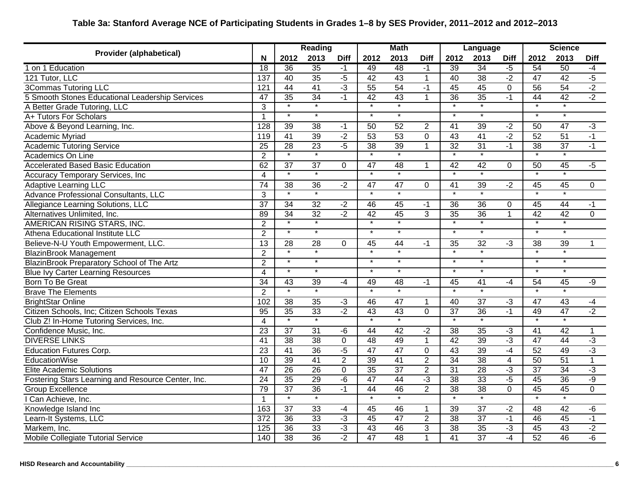# **Table 3a: Stanford Average NCE of Participating Students in Grades 1–8 by SES Provider, 2011–2012 and 2012–2013**

|                                                    |                  | <b>Reading</b>           |                    | <b>Math</b>     |                          | Language                 |                |                          | <b>Science</b>    |                |                    |                    |                |
|----------------------------------------------------|------------------|--------------------------|--------------------|-----------------|--------------------------|--------------------------|----------------|--------------------------|-------------------|----------------|--------------------|--------------------|----------------|
| <b>Provider (alphabetical)</b>                     | N                | 2012                     | 2013               | <b>Diff</b>     | 2012                     | 2013                     | <b>Diff</b>    | 2012                     | 2013              | <b>Diff</b>    | 2012               | 2013               | <b>Diff</b>    |
| 1 on 1 Education                                   | 18               | 36                       | 35                 | $-1$            | 49                       | 48                       | $-1$           | 39                       | 34                | $-5$           | 54                 | 50                 | $-4$           |
| 121 Tutor, LLC                                     | 137              | 40                       | 35                 | $-5$            | 42                       | 43                       | $\overline{1}$ | 40                       | 38                | $-2$           | 47                 | 42                 | $-5$           |
| <b>3Commas Tutoring LLC</b>                        | 121              | 44                       | 41                 | $-3$            | 55                       | 54                       | $-1$           | 45                       | 45                | $\overline{0}$ | 56                 | 54                 | $-2$           |
| 5 Smooth Stones Educational Leadership Services    | $\overline{47}$  | $\overline{35}$          | 34                 | $-1$            | 42                       | $\overline{43}$          | $\mathbf{1}$   | 36                       | 35                | $-1$           | $\overline{44}$    | 42                 | $-2$           |
| A Better Grade Tutoring, LLC                       | 3                |                          | $\overline{\ast}$  |                 | $\overline{\ast}$        | $\overline{\ast}$        |                |                          | $\overline{\ast}$ |                | $\overline{\ast}$  |                    |                |
| A+ Tutors For Scholars                             | $\overline{1}$   | $\star$                  | $\overline{\ast}$  |                 | $\star$                  | $\overline{\phantom{a}}$ |                | $\ast$                   | $\ast$            |                | $\star$            | $\overline{\ast}$  |                |
| Above & Beyond Learning, Inc.                      | 128              | 39                       | $\overline{38}$    | $-1$            | $\overline{50}$          | $\overline{52}$          | $\overline{2}$ | 41                       | 39                | $-2$           | 50                 | 47                 | $-3$           |
| <b>Academic Myriad</b>                             | 119              | 41                       | 39                 | $-2$            | 53                       | 53                       | $\overline{0}$ | 43                       | 41                | $-2$           | 52                 | 51                 | $-1$           |
| <b>Academic Tutoring Service</b>                   | $\overline{25}$  | $\overline{28}$          | 23                 | $-5$            | $\overline{38}$          | $\overline{39}$          | $\mathbf{1}$   | $\overline{32}$          | 31                | $-1$           | $\overline{38}$    | 37                 | $-1$           |
| Academics On Line                                  | $\overline{2}$   | $\star$                  | $\star$            |                 | $\overline{\cdot}$       | $\overline{\cdot}$       |                | $\ast$                   | $\star$           |                |                    |                    |                |
| <b>Accelerated Based Basic Education</b>           | 62               | $\overline{37}$          | $\overline{37}$    | $\Omega$        | $\overline{47}$          | 48                       | $\mathbf{1}$   | 42                       | 42                | $\overline{0}$ | 50                 | 45                 | $-5$           |
| <b>Accuracy Temporary Services, Inc.</b>           | $\overline{4}$   | $\overline{\phantom{a}}$ | $\overline{\cdot}$ |                 | $\overline{\cdot}$       | $\overline{\phantom{0}}$ |                | $\overline{\ast}$        | $\overline{\ast}$ |                | $\overline{\cdot}$ | $\star$            |                |
| <b>Adaptive Learning LLC</b>                       | $\overline{74}$  | 38                       | 36                 | $-2$            | 47                       | 47                       | $\Omega$       | $\overline{41}$          | 39                | $-2$           | 45                 | 45                 | $\overline{0}$ |
| Advance Professional Consultants, LLC              | $\overline{3}$   | $\overline{\ast}$        | $\ast$             |                 | $\overline{\ast}$        | $\ast$                   |                | $\overline{\cdot}$       | $\overline{\ast}$ |                | $\ast$             |                    |                |
| Allegiance Learning Solutions, LLC                 | $\overline{37}$  | $\overline{34}$          | 32                 | $-2$            | 46                       | 45                       | $-1$           | $\overline{36}$          | $\overline{36}$   | $\mathbf 0$    | 45                 | 44                 | $-1$           |
| Alternatives Unlimited, Inc.                       | 89               | 34                       | 32                 | $-2$            | 42                       | 45                       | 3              | 35                       | 36                | $\mathbf{1}$   | 42                 | 42                 | $\overline{0}$ |
| AMERICAN RISING STARS, INC.                        | $\overline{2}$   | $\overline{\ast}$        | $\overline{\ast}$  |                 | $\overline{\ast}$        | $\overline{\ast}$        |                | $\overline{\ast}$        | $\overline{\ast}$ |                | $\overline{\ast}$  | $\overline{\ast}$  |                |
| Athena Educational Institute LLC                   | $\overline{2}$   | $\star$                  | $\star$            |                 | $\overline{\phantom{a}}$ | $\ast$                   |                | $\overline{\phantom{a}}$ | $\star$           |                | $\star$            | $\star$            |                |
| Believe-N-U Youth Empowerment, LLC.                | $\overline{13}$  | 28                       | $\overline{28}$    | 0               | 45                       | 44                       | $-1$           | $\overline{35}$          | 32                | لۍ.            | $\overline{38}$    | $\overline{39}$    | 1              |
| <b>BlazinBrook Management</b>                      | $\overline{2}$   | $\star$                  | $\pmb{\ast}$       |                 | $\overline{\ast}$        | $\overline{\ast}$        |                | $\star$                  | $\star$           |                | $\overline{\ast}$  | $\star$            |                |
| BlazinBrook Preparatory School of The Artz         | $\overline{2}$   | $\star$                  | $\star$            |                 | $\star$                  | $\star$                  |                | $\star$                  | $\star$           |                | $\star$            | $\star$            |                |
| <b>Blue Ivy Carter Learning Resources</b>          | $\overline{4}$   | $\ast$                   | $\star$            |                 | $\star$                  | $\star$                  |                | $\star$                  | $\star$           |                | $\star$            | $\ast$             |                |
| Born To Be Great                                   | $\overline{34}$  | $\overline{43}$          | 39                 | $-4$            | 49                       | $\overline{48}$          | $-1$           | 45                       | 41                | $-4$           | $\overline{54}$    | $\overline{45}$    | $-9$           |
| <b>Brave The Elements</b>                          | $\overline{2}$   | $\overline{\ast}$        | $\overline{\ast}$  |                 | $\overline{\ast}$        | $\overline{\ast}$        |                | $\overline{\ast}$        | $\overline{\ast}$ |                | $\overline{\ast}$  | $\star$            |                |
| <b>BrightStar Online</b>                           | 102              | 38                       | $\overline{35}$    | $-3$            | 46                       | 47                       | 1              | 40                       | $\overline{37}$   | $-3$           | 47                 | 43                 | $-4$           |
| Citizen Schools, Inc; Citizen Schools Texas        | $\overline{95}$  | $\overline{35}$          | 33                 | $-2$            | 43                       | 43                       | 0              | $\overline{37}$          | 36                | $-1$           | 49                 | 47                 | $-2$           |
| Club Z! In-Home Tutoring Services, Inc.            | $\overline{4}$   | $\overline{\phantom{a}}$ | $\overline{\cdot}$ |                 | $\overline{\cdot}$       | $^\star$                 |                | $\overline{\cdot}$       | $\star$           |                | $\overline{\cdot}$ | $\overline{\cdot}$ |                |
| Confidence Music, Inc.                             | 23               | $\overline{37}$          | $\overline{31}$    | -6              | $\overline{44}$          | $\overline{42}$          | $-2$           | $\overline{38}$          | $\overline{35}$   | لۍ.            | $\overline{41}$    | $\overline{42}$    | $\mathbf{1}$   |
| <b>DIVERSE LINKS</b>                               | $\overline{41}$  | $\overline{38}$          | $\overline{38}$    | 0               | $\overline{48}$          | 49                       | $\mathbf{1}$   | $\overline{42}$          | 39                | $-3$           | 47                 | 44                 | $-3$           |
| <b>Education Futures Corp.</b>                     | 23               | 41                       | 36                 | $-5$            | $\overline{47}$          | $\overline{47}$          | $\mathbf 0$    | $\overline{43}$          | 39                | $-4$           | 52                 | 49                 | $-3$           |
| EducationWise                                      | 10               | 39                       | 41                 | $\overline{2}$  | 39                       | 41                       | $\overline{2}$ | 34                       | 38                | $\overline{4}$ | 50                 | 51                 | $\overline{1}$ |
| <b>Elite Academic Solutions</b>                    | $\overline{47}$  | 26                       | $\overline{26}$    | $\mathbf 0$     | 35                       | $\overline{37}$          | $\overline{2}$ | 31                       | 28                | $-3$           | $\overline{37}$    | 34                 | $-3$           |
| Fostering Stars Learning and Resource Center, Inc. | $\overline{24}$  | 35                       | 29                 | $-\overline{6}$ | 47                       | 44                       | ٠3             | 38                       | 33                | $-5$           | 45                 | 36                 | -9             |
| Group Excellence                                   | 79               | $\overline{37}$          | 36                 | $-1$            | $\overline{44}$          | 46                       | $\overline{2}$ | $\overline{38}$          | $\overline{38}$   | 0              | $\overline{45}$    | 45                 | $\overline{0}$ |
| Can Achieve, Inc.                                  | $\mathbf 1$      | $\overline{\ast}$        | $\overline{\ast}$  |                 | $\overline{\ast}$        | $\overline{\cdot}$       |                | $\overline{\cdot}$       | $\overline{\ast}$ |                | $\overline{\cdot}$ | $\star$            |                |
| Knowledge Island Inc                               | 163              | $\overline{37}$          | $\overline{33}$    | $-4$            | 45                       | 46                       | $\mathbf{1}$   | $\overline{39}$          | $\overline{37}$   | $-2$           | 48                 | $\overline{42}$    | -6             |
| Learn-It Systems, LLC                              | $\overline{372}$ | 36                       | 33                 | $-3$            | 45                       | 47                       | $\overline{2}$ | 38                       | $\overline{37}$   | $-1$           | 46                 | 45                 | $-1$           |
| Markem, Inc.                                       | 125              | 36                       | 33                 | $-3$            | 43                       | 46                       | $\overline{3}$ | 38                       | 35                | $-3$           | 45                 | 43                 | $-2$           |
| Mobile Collegiate Tutorial Service                 | 140              | 38                       | 36                 | $-2$            | 47                       | 48                       | $\overline{1}$ | 41                       | $\overline{37}$   | $-4$           | 52                 | 46                 | $-6$           |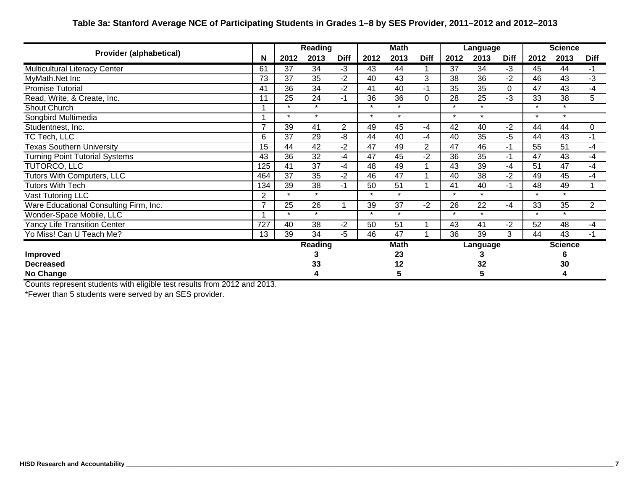## **Table 3a: Stanford Average NCE of Participating Students in Grades 1–8 by SES Provider, 2011–2012 and 2012–2013**

| <b>Provider (alphabetical)</b>         |                |         | <b>Reading</b> |             | <b>Math</b> |                 |             | Language |          |             | <b>Science</b> |                |                |
|----------------------------------------|----------------|---------|----------------|-------------|-------------|-----------------|-------------|----------|----------|-------------|----------------|----------------|----------------|
|                                        | N              | 2012    | 2013           | <b>Diff</b> | 2012        | 2013            | <b>Diff</b> | 2012     | 2013     | <b>Diff</b> | 2012           | 2013           | <b>Diff</b>    |
| <b>Multicultural Literacy Center</b>   | 61             | 37      | 34             | $-3$        | 43          | 44              |             | 37       | 34       | $-3$        | 45             | 44             | $-1$           |
| MyMath.Net Inc                         | 73             | 37      | 35             | -2          | 40          | 43              | 3           | 38       | 36       | $-2$        | 46             | 43             | $\overline{3}$ |
| <b>Promise Tutorial</b>                | 41             | 36      | 34             | -2          | 41          | 40              | -1          | 35       | 35       | 0           | 47             | 43             | $-4$           |
| Read, Write, & Create, Inc.            | 11             | 25      | 24             | $-1$        | 36          | $\overline{36}$ | $\Omega$    | 28       | 25       | لې.         | 33             | 38             | $\overline{5}$ |
| Shout Church                           |                | $\star$ | $\star$        |             | $\star$     | $\star$         |             | $\star$  | $\star$  |             | $\star$        | $\star$        |                |
| Songbird Multimedia                    |                | $\star$ | $\star$        |             | $\star$     | $\star$         |             | $\star$  | $\star$  |             | $\star$        | $\star$        |                |
| Studentnest, Inc.                      | 7              | 39      | 41             | 2           | 49          | 45              | $-4$        | 42       | 40       | $-2$        | 44             | 44             | $\mathbf 0$    |
| TC Tech, LLC                           | 6              | 37      | 29             | -8          | 44          | 40              | -4          | 40       | 35       | $-5$        | 44             | 43             | $-1$           |
| <b>Fexas Southern University</b>       | 15             | 44      | 42             | -2          | 47          | 49              | 2           | 47       | 46       | $-1$        | 55             | 51             | -4             |
| <b>Turning Point Tutorial Systems</b>  | 43             | 36      | 32             | -4          | 47          | 45              | -2          | 36       | 35       | $-1$        | 47             | 43             | $-4$           |
| TUTORCO, LLC                           | 125            | 41      | 37             | $-4$        | 48          | 49              |             | 43       | 39       | $-4$        | 51             | 47             | -4             |
| Tutors With Computers, LLC             | 464            | 37      | 35             | -2          | 46          | 47              |             | 40       | 38       | -2          | 49             | 45             | -4             |
| Tutors With Tech                       | 134            | 39      | 38             | $-1$        | 50          | 51              |             | 41       | 40       | $-1$        | 48             | 49             |                |
| Vast Tutoring LLC                      | $\overline{2}$ | $\star$ | $\star$        |             | $\star$     | $\star$         |             | $\star$  | $\star$  |             | $\star$        | $\star$        |                |
| Ware Educational Consulting Firm, Inc. | $\overline{7}$ | 25      | 26             |             | 39          | $\overline{37}$ | $-2$        | 26       | 22       | $-4$        | 33             | 35             | $\overline{2}$ |
| Wonder-Space Mobile, LLC               |                | $\star$ | $\star$        |             | $\star$     | $\star$         |             | $\star$  | $\star$  |             | $\star$        | $\star$        |                |
| <b>Yancy Life Transition Center</b>    | 727            | 40      | 38             | -2          | 50          | 51              |             | 43       | 41       | $-2$        | 52             | 48             | $-4$           |
| Yo Miss! Can U Teach Me?               | 13             | 39      | 34             | $-5$        | 46          | 47              |             | 36       | 39       | 3           | 44             | 43             | $-1$           |
|                                        |                |         | Reading        |             |             | <b>Math</b>     |             |          | Language |             |                | <b>Science</b> |                |
| <b>Improved</b>                        |                |         |                |             |             | 23              |             |          |          |             |                |                |                |
| <b>Decreased</b>                       |                | 33      |                |             | 12          |                 |             | 32       |          |             | 30             |                |                |
| No Change                              |                |         |                |             |             | 5               |             |          | 5        |             |                | 4              |                |

Counts represent students with eligible test results from 2012 and 2013.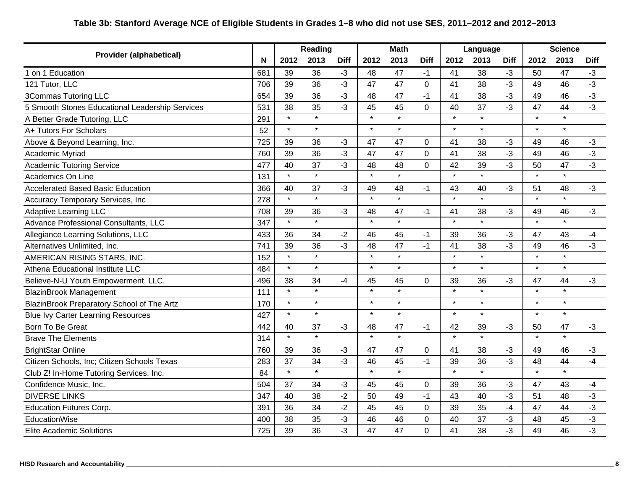## **Table 3b: Stanford Average NCE of Eligible Students in Grades 1–8 who did not use SES, 2011–2012 and 2012–2013**

|                                                 |     | Reading |         | <b>Math</b> |         |         |              | Language |         | <b>Science</b> |         |         |             |
|-------------------------------------------------|-----|---------|---------|-------------|---------|---------|--------------|----------|---------|----------------|---------|---------|-------------|
| <b>Provider (alphabetical)</b>                  | N   | 2012    | 2013    | <b>Diff</b> | 2012    | 2013    | <b>Diff</b>  | 2012     | 2013    | <b>Diff</b>    | 2012    | 2013    | <b>Diff</b> |
| 1 on 1 Education                                | 681 | 39      | 36      | -3          | 48      | 47      | -1           | 41       | 38      | $-3$           | 50      | 47      | $-3$        |
| 121 Tutor, LLC                                  | 706 | 39      | 36      | $-3$        | 47      | 47      | $\mathbf 0$  | 41       | 38      | -3             | 49      | 46      | $-3$        |
| 3Commas Tutoring LLC                            | 654 | 39      | 36      | -3          | 48      | 47      | -1           | 41       | 38      | $-3$           | 49      | 46      | $-3$        |
| 5 Smooth Stones Educational Leadership Services | 531 | 38      | 35      | -3          | 45      | 45      | 0            | 40       | 37      | $-3$           | 47      | 44      | $-3$        |
| A Better Grade Tutoring, LLC                    | 291 | $\star$ | $\star$ |             | $\star$ | $\star$ |              | $\star$  | $\star$ |                | $\star$ | $\star$ |             |
| A+ Tutors For Scholars                          | 52  | $\star$ | $\star$ |             | $\star$ | $\star$ |              | $\star$  | $\star$ |                | $\star$ | $\star$ |             |
| Above & Beyond Learning, Inc.                   | 725 | 39      | 36      | $-3$        | 47      | 47      | $\mathbf{0}$ | 41       | 38      | $-3$           | 49      | 46      | $-3$        |
| Academic Myriad                                 | 760 | 39      | 36      | $-3$        | 47      | 47      | 0            | 41       | 38      | $-3$           | 49      | 46      | $-3$        |
| <b>Academic Tutoring Service</b>                | 477 | 40      | 37      | $-3$        | 48      | 48      | 0            | 42       | 39      | $-3$           | 50      | 47      | $-3$        |
| Academics On Line                               | 131 | $\star$ | $\star$ |             | $\star$ | $\star$ |              | $\star$  | $\star$ |                | $\star$ | $\star$ |             |
| <b>Accelerated Based Basic Education</b>        | 366 | 40      | 37      | $-3$        | 49      | 48      | $-1$         | 43       | 40      | $-3$           | 51      | 48      | $-3$        |
| Accuracy Temporary Services, Inc                | 278 | $\star$ | $\star$ |             | $\star$ | $\star$ |              | $\star$  | $\star$ |                | $\star$ | $\star$ |             |
| Adaptive Learning LLC                           | 708 | 39      | 36      | $-3$        | 48      | 47      | -1           | 41       | 38      | $-3$           | 49      | 46      | $-3$        |
| Advance Professional Consultants, LLC           | 347 | $\star$ | $\star$ |             | $\star$ | $\star$ |              | $\star$  | $\star$ |                | $\star$ | $\star$ |             |
| Allegiance Learning Solutions, LLC              | 433 | 36      | 34      | $-2$        | 46      | 45      | $-1$         | 39       | 36      | $-3$           | 47      | 43      | $-4$        |
| Alternatives Unlimited, Inc.                    | 741 | 39      | 36      | $-3$        | 48      | 47      | $-1$         | 41       | 38      | $-3$           | 49      | 46      | $-3$        |
| AMERICAN RISING STARS, INC.                     | 152 | $\star$ | $\star$ |             | $\star$ | $\star$ |              | $\star$  | $\star$ |                | $\star$ | $\star$ |             |
| Athena Educational Institute LLC                | 484 | $\star$ | $\star$ |             | $\star$ | $\star$ |              | $\star$  | $\star$ |                | $\star$ | $\star$ |             |
| Believe-N-U Youth Empowerment, LLC.             | 496 | 38      | 34      | -4          | 45      | 45      | 0            | 39       | 36      | $-3$           | 47      | 44      | $-3$        |
| <b>BlazinBrook Management</b>                   | 111 | $\star$ | $\star$ |             | $\star$ | $\star$ |              | $\star$  | $\star$ |                | $\star$ | $\star$ |             |
| BlazinBrook Preparatory School of The Artz      | 170 | $\star$ | $\star$ |             | $\star$ | $\star$ |              | $\star$  | $\star$ |                | $\star$ | $\star$ |             |
| <b>Blue Ivy Carter Learning Resources</b>       | 427 | $\star$ | $\star$ |             | $\star$ | $\star$ |              | $\star$  | $\star$ |                | $\star$ | $\star$ |             |
| Born To Be Great                                | 442 | 40      | 37      | $-3$        | 48      | 47      | $-1$         | 42       | 39      | $-3$           | 50      | 47      | $-3$        |
| <b>Brave The Elements</b>                       | 314 | $\star$ | $\star$ |             | $\star$ | $\star$ |              | $\star$  | $\star$ |                | $\star$ | $\star$ |             |
| <b>BrightStar Online</b>                        | 760 | 39      | 36      | $-3$        | 47      | 47      | 0            | 41       | 38      | $-3$           | 49      | 46      | $-3$        |
| Citizen Schools, Inc; Citizen Schools Texas     | 283 | 37      | 34      | $-3$        | 46      | 45      | $-1$         | 39       | 36      | -3             | 48      | 44      | $-4$        |
| Club Z! In-Home Tutoring Services, Inc.         | 84  | $\star$ | $\star$ |             | $\star$ | $\star$ |              | $\star$  | $\star$ |                | $\star$ | $\star$ |             |
| Confidence Music, Inc.                          | 504 | 37      | 34      | $-3$        | 45      | 45      | 0            | 39       | 36      | $-3$           | 47      | 43      | -4          |
| <b>DIVERSE LINKS</b>                            | 347 | 40      | 38      | $-2$        | 50      | 49      | $-1$         | 43       | 40      | -3             | 51      | 48      | $-3$        |
| <b>Education Futures Corp.</b>                  | 391 | 36      | 34      | $-2$        | 45      | 45      | 0            | 39       | 35      | $-4$           | 47      | 44      | $-3$        |
| EducationWise                                   | 400 | 38      | 35      | -3          | 46      | 46      | 0            | 40       | 37      | $-3$           | 48      | 45      | $-3$        |
| Elite Academic Solutions                        | 725 | 39      | 36      | -3          | 47      | 47      | 0            | 41       | 38      | $-3$           | 49      | 46      | $-3$        |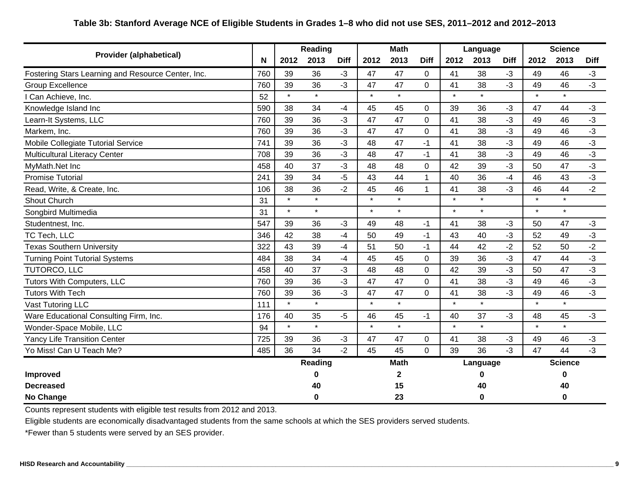## **Table 3b: Stanford Average NCE of Eligible Students in Grades 1–8 who did not use SES, 2011–2012 and 2012–2013**

|                                                    |     | <b>Reading</b> |         |             | <b>Math</b> |             |                | Language |          |             | <b>Science</b> |                |             |
|----------------------------------------------------|-----|----------------|---------|-------------|-------------|-------------|----------------|----------|----------|-------------|----------------|----------------|-------------|
| <b>Provider (alphabetical)</b>                     | N   | 2012           | 2013    | <b>Diff</b> | 2012        | 2013        | <b>Diff</b>    | 2012     | 2013     | <b>Diff</b> | 2012           | 2013           | <b>Diff</b> |
| Fostering Stars Learning and Resource Center, Inc. | 760 | 39             | 36      | $-3$        | 47          | 47          | $\Omega$       | 41       | 38       | $-3$        | 49             | 46             | $-3$        |
| <b>Group Excellence</b>                            | 760 | 39             | 36      | $-3$        | 47          | 47          | $\Omega$       | 41       | 38       | $-3$        | 49             | 46             | $-3$        |
| I Can Achieve, Inc.                                | 52  | $\star$        | $\star$ |             | $\star$     | $\star$     |                | $\star$  | $\star$  |             | $\star$        | $\star$        |             |
| Knowledge Island Inc                               | 590 | 38             | 34      | $-4$        | 45          | 45          | $\overline{0}$ | 39       | 36       | $-3$        | 47             | 44             | $-3$        |
| Learn-It Systems, LLC                              | 760 | 39             | 36      | $-3$        | 47          | 47          | 0              | 41       | 38       | $-3$        | 49             | 46             | $-3$        |
| Markem, Inc.                                       | 760 | 39             | 36      | $-3$        | 47          | 47          | $\overline{0}$ | 41       | 38       | $-3$        | 49             | 46             | $-3$        |
| Mobile Collegiate Tutorial Service                 | 741 | 39             | 36      | -3          | 48          | 47          | $-1$           | 41       | 38       | $-3$        | 49             | 46             | $-3$        |
| <b>Multicultural Literacy Center</b>               | 708 | 39             | 36      | -3          | 48          | 47          | $-1$           | 41       | 38       | $-3$        | 49             | 46             | $-3$        |
| MyMath.Net Inc                                     | 458 | 40             | 37      | -3          | 48          | 48          | $\Omega$       | 42       | 39       | $-3$        | 50             | 47             | $-3$        |
| <b>Promise Tutorial</b>                            | 241 | 39             | 34      | -5          | 43          | 44          | 1              | 40       | 36       | $-4$        | 46             | 43             | $-3$        |
| Read, Write, & Create, Inc.                        | 106 | 38             | 36      | $-2$        | 45          | 46          | $\mathbf{1}$   | 41       | 38       | $-3$        | 46             | 44             | $-2$        |
| Shout Church                                       | 31  | $\star$        | $\star$ |             | $\star$     | $\star$     |                | $\star$  | $\star$  |             | $\star$        | $\star$        |             |
| Songbird Multimedia                                | 31  | $\star$        | $\star$ |             | $\star$     | $\star$     |                | $\star$  | $\star$  |             | $\star$        | $\star$        |             |
| Studentnest, Inc.                                  | 547 | 39             | 36      | -3          | 49          | 48          | $-1$           | 41       | 38       | $-3$        | 50             | 47             | $-3$        |
| TC Tech, LLC                                       | 346 | 42             | 38      | -4          | 50          | 49          | $-1$           | 43       | 40       | $-3$        | 52             | 49             | $-3$        |
| <b>Texas Southern University</b>                   | 322 | 43             | 39      | $-4$        | 51          | 50          | $-1$           | 44       | 42       | $-2$        | 52             | 50             | $-2$        |
| <b>Turning Point Tutorial Systems</b>              | 484 | 38             | 34      | -4          | 45          | 45          | $\mathbf 0$    | 39       | 36       | $-3$        | 47             | 44             | $-3$        |
| TUTORCO, LLC                                       | 458 | 40             | 37      | $-3$        | 48          | 48          | 0              | 42       | 39       | $-3$        | 50             | 47             | $-3$        |
| Tutors With Computers, LLC                         | 760 | 39             | 36      | -3          | 47          | 47          | $\overline{0}$ | 41       | 38       | $-3$        | 49             | 46             | $-3$        |
| <b>Tutors With Tech</b>                            | 760 | 39             | 36      | -3          | 47          | 47          | $\Omega$       | 41       | 38       | $-3$        | 49             | 46             | $-3$        |
| Vast Tutoring LLC                                  | 111 | $\star$        | $\star$ |             | $\star$     | $\star$     |                | $\star$  | $\star$  |             | $\star$        | $\star$        |             |
| Ware Educational Consulting Firm, Inc.             | 176 | 40             | 35      | -5          | 46          | 45          | $-1$           | 40       | 37       | $-3$        | 48             | 45             | $-3$        |
| Wonder-Space Mobile, LLC                           | 94  | $\star$        | $\star$ |             | $\star$     | $\star$     |                | $\star$  | $\star$  |             | $\star$        | $\star$        |             |
| <b>Yancy Life Transition Center</b>                | 725 | 39             | 36      | $-3$        | 47          | 47          | 0              | 41       | 38       | $-3$        | 49             | 46             | $-3$        |
| Yo Miss! Can U Teach Me?                           | 485 | 36             | 34      | $-2$        | 45          | 45          | $\overline{0}$ | 39       | 36       | $-3$        | 47             | 44             | $-3$        |
|                                                    |     |                | Reading |             |             | <b>Math</b> |                |          | Language |             |                | <b>Science</b> |             |
| Improved                                           |     |                | 0       |             |             | 2           |                |          |          |             |                | 0              |             |
| <b>Decreased</b>                                   |     |                | 40      |             |             | 15          |                |          | 40       |             |                | 40             |             |
| <b>No Change</b>                                   |     |                | 0       |             |             | 23          |                |          |          |             |                | $\bf{0}$       |             |

Counts represent students with eligible test results from 2012 and 2013.

Eligible students are economically disadvantaged students from the same schools at which the SES providers served students.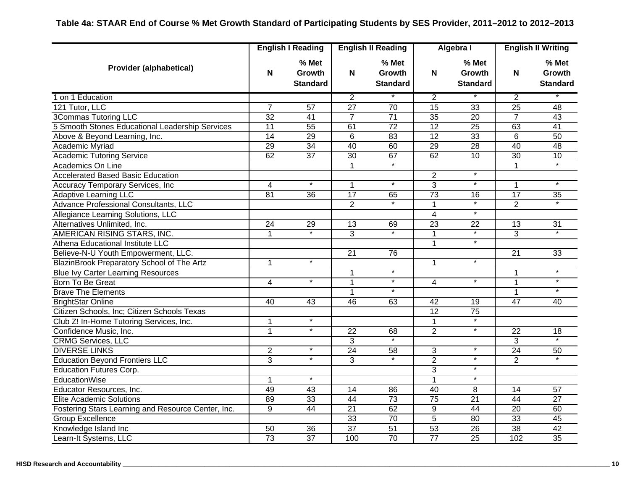|                                                    | <b>English I Reading</b> |                                    |                 | <b>English II Reading</b>          |                 | Algebra I                          | <b>English II Writing</b> |                                    |
|----------------------------------------------------|--------------------------|------------------------------------|-----------------|------------------------------------|-----------------|------------------------------------|---------------------------|------------------------------------|
| <b>Provider (alphabetical)</b>                     | N                        | % Met<br>Growth<br><b>Standard</b> | N               | % Met<br>Growth<br><b>Standard</b> | N               | % Met<br>Growth<br><b>Standard</b> | N                         | % Met<br>Growth<br><b>Standard</b> |
| 1 on 1 Education                                   |                          |                                    | $\overline{2}$  |                                    | $\overline{2}$  |                                    | $\overline{2}$            |                                    |
| 121 Tutor, LLC                                     | $\overline{7}$           | $\overline{57}$                    | $\overline{27}$ | $\overline{70}$                    | $\overline{15}$ | $\overline{33}$                    | $\overline{25}$           | $\overline{48}$                    |
| <b>3Commas Tutoring LLC</b>                        | $\overline{32}$          | $\overline{41}$                    | $\overline{7}$  | $\overline{71}$                    | 35              | $\overline{20}$                    | $\overline{7}$            | 43                                 |
| 5 Smooth Stones Educational Leadership Services    | 11                       | 55                                 | 61              | $\overline{72}$                    | 12              | $\overline{25}$                    | 63                        | 41                                 |
| Above & Beyond Learning, Inc.                      | $\overline{14}$          | $\overline{29}$                    | 6               | 83                                 | $\overline{12}$ | 33                                 | 6                         | 50                                 |
| Academic Myriad                                    | $\overline{29}$          | $\overline{34}$                    | 40              | 60                                 | 29              | 28                                 | 40                        | 48                                 |
| <b>Academic Tutoring Service</b>                   | 62                       | $\overline{37}$                    | $\overline{30}$ | 67                                 | 62              | 10                                 | $\overline{30}$           | 10                                 |
| Academics On Line                                  |                          |                                    | $\mathbf 1$     | $\overline{\ast}$                  |                 |                                    |                           | $\overline{\ast}$                  |
| <b>Accelerated Based Basic Education</b>           |                          |                                    |                 |                                    | $\overline{2}$  | $\ast$                             |                           |                                    |
| Accuracy Temporary Services, Inc                   | $\overline{4}$           | $\ast$                             | $\mathbf{1}$    | $\overline{\ast}$                  | $\overline{3}$  | $\ast$                             | $\mathbf 1$               | $\overline{\ast}$                  |
| <b>Adaptive Learning LLC</b>                       | 81                       | 36                                 | $\overline{17}$ | 65                                 | $\overline{73}$ | 16                                 | $\overline{17}$           | 35                                 |
| Advance Professional Consultants, LLC              |                          |                                    | $\overline{2}$  |                                    | 1               |                                    | $\overline{2}$            |                                    |
| Allegiance Learning Solutions, LLC                 |                          |                                    |                 |                                    | $\overline{4}$  | $\ast$                             |                           |                                    |
| Alternatives Unlimited, Inc.                       | 24                       | 29                                 | $\overline{13}$ | 69                                 | $\overline{23}$ | 22                                 | $\overline{13}$           | $\overline{31}$                    |
| AMERICAN RISING STARS, INC.                        | 1                        | $\star$                            | 3               | $\ast$                             | $\mathbf{1}$    | $\ast$                             | 3                         |                                    |
| Athena Educational Institute LLC                   |                          |                                    |                 |                                    | $\mathbf{1}$    | $\ast$                             |                           |                                    |
| Believe-N-U Youth Empowerment, LLC.                |                          |                                    | 21              | 76                                 |                 |                                    | 21                        | 33                                 |
| BlazinBrook Preparatory School of The Artz         | 1                        | $\overline{\ast}$                  |                 |                                    | $\mathbf{1}$    | $\ast$                             |                           |                                    |
| <b>Blue Ivy Carter Learning Resources</b>          |                          |                                    | $\mathbf{1}$    | $\ast$                             |                 |                                    | $\mathbf{1}$              | $\ast$                             |
| Born To Be Great                                   | 4                        | $\star$                            | $\mathbf{1}$    | $\star$                            | 4               | $\ast$                             | $\mathbf 1$               | $\star$                            |
| <b>Brave The Elements</b>                          |                          |                                    | $\mathbf{1}$    | $\ast$                             |                 |                                    | 1                         | $\ast$                             |
| <b>BrightStar Online</b>                           | 40                       | 43                                 | 46              | 63                                 | 42              | 19                                 | 47                        | 40                                 |
| Citizen Schools, Inc; Citizen Schools Texas        |                          |                                    |                 |                                    | $\overline{12}$ | $\overline{75}$                    |                           |                                    |
| Club Z! In-Home Tutoring Services, Inc.            | 1                        | $\overline{\ast}$                  |                 |                                    | $\overline{1}$  | $\star$                            |                           |                                    |
| Confidence Music, Inc.                             | $\mathbf{1}$             | $\star$                            | 22              | 68                                 | $\overline{2}$  | $\star$                            | 22                        | 18                                 |
| <b>CRMG Services, LLC</b>                          |                          |                                    | $\overline{3}$  | $\overline{\phantom{a}}$           |                 |                                    | 3                         |                                    |
| <b>DIVERSE LINKS</b>                               | $\overline{c}$           | $\star$                            | 24              | 58                                 | 3               | $\star$                            | 24                        | 50                                 |
| <b>Education Beyond Frontiers LLC</b>              | 3                        | $\star$                            | 3               |                                    | $\overline{c}$  | $\star$                            | $\overline{2}$            |                                    |
| <b>Education Futures Corp.</b>                     |                          |                                    |                 |                                    | $\overline{3}$  | $\ast$                             |                           |                                    |
| <b>EducationWise</b>                               | $\overline{1}$           | $\overline{\cdot}$                 |                 |                                    | $\overline{1}$  | $\overline{\cdot}$                 |                           |                                    |
| Educator Resources, Inc.                           | 49                       | 43                                 | $\overline{14}$ | 86                                 | $\overline{40}$ | 8                                  | 14                        | 57                                 |
| <b>Elite Academic Solutions</b>                    | 89                       | 33                                 | 44              | 73                                 | $\overline{75}$ | $\overline{21}$                    | 44                        | $\overline{27}$                    |
| Fostering Stars Learning and Resource Center, Inc. | 9                        | 44                                 | 21              | 62                                 | 9               | 44                                 | 20                        | 60                                 |
| <b>Group Excellence</b>                            |                          |                                    | 33              | 70                                 | $\overline{5}$  | $\overline{80}$                    | 33                        | 45                                 |
| Knowledge Island Inc                               | 50                       | $\overline{36}$                    | $\overline{37}$ | 51                                 | 53              | $\overline{26}$                    | 38                        | 42                                 |
| Learn-It Systems, LLC                              | $\overline{73}$          | $\overline{37}$                    | 100             | $\overline{70}$                    | $\overline{77}$ | $\overline{25}$                    | 102                       | $\overline{35}$                    |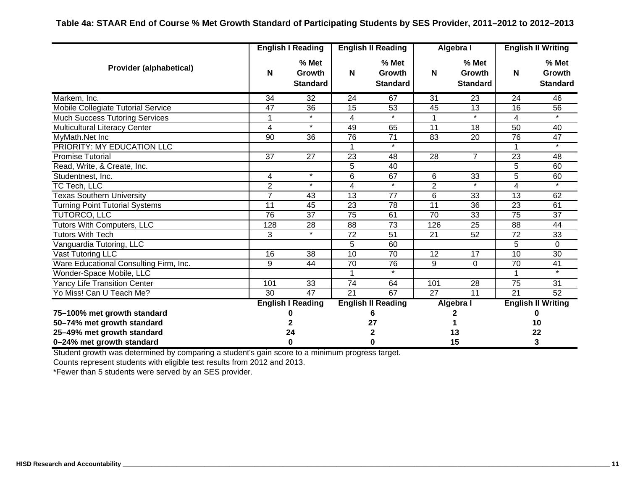|                                        |                 | <b>English I Reading</b>           |                 | <b>English II Reading</b>                 |                 | Algebra I                          | <b>English II Writing</b> |                                      |
|----------------------------------------|-----------------|------------------------------------|-----------------|-------------------------------------------|-----------------|------------------------------------|---------------------------|--------------------------------------|
| <b>Provider (alphabetical)</b>         | N               | % Met<br>Growth<br><b>Standard</b> | N               | % Met<br><b>Growth</b><br><b>Standard</b> | N               | % Met<br>Growth<br><b>Standard</b> | N                         | $%$ Met<br>Growth<br><b>Standard</b> |
| Markem, Inc.                           | 34              | 32                                 | 24              | 67                                        | 31              | 23                                 | 24                        | 46                                   |
| Mobile Collegiate Tutorial Service     | 47              | 36                                 | 15              | 53                                        | 45              | 13                                 | 16                        | 56                                   |
| <b>Much Success Tutoring Services</b>  | 1               | $\star$                            | 4               | $\star$                                   | $\mathbf{1}$    | $\star$                            | 4                         | $\star$                              |
| <b>Multicultural Literacy Center</b>   | $\overline{4}$  | $\star$                            | 49              | 65                                        | 11              | 18                                 | 50                        | 40                                   |
| MyMath.Net Inc                         | $\overline{90}$ | 36                                 | 76              | 71                                        | 83              | 20                                 | 76                        | $\overline{47}$                      |
| PRIORITY: MY EDUCATION LLC             |                 |                                    |                 | $\star$                                   |                 |                                    |                           | $\star$                              |
| Promise Tutorial                       | 37              | 27                                 | 23              | 48                                        | 28              | 7                                  | 23                        | 48                                   |
| Read, Write, & Create, Inc.            |                 |                                    | 5               | 40                                        |                 |                                    | 5                         | 60                                   |
| Studentnest, Inc.                      | 4               | $\star$                            | 6               | 67                                        | 6               | 33                                 | 5                         | 60                                   |
| TC Tech, LLC                           | $\overline{2}$  | $\star$                            | 4               | $\star$                                   | $\overline{2}$  |                                    | 4                         |                                      |
| <b>Texas Southern University</b>       | $\overline{7}$  | 43                                 | $\overline{13}$ | $\overline{77}$                           | 6               | 33                                 | $\overline{13}$           | 62                                   |
| <b>Turning Point Tutorial Systems</b>  | 11              | 45                                 | 23              | 78                                        | 11              | 36                                 | 23                        | 61                                   |
| TUTORCO, LLC                           | 76              | 37                                 | 75              | 61                                        | 70              | 33                                 | 75                        | 37                                   |
| <b>Tutors With Computers, LLC</b>      | 128             | $\overline{28}$                    | $\overline{88}$ | $\overline{73}$                           | 126             | 25                                 | 88                        | 44                                   |
| <b>Tutors With Tech</b>                | 3               | $\star$                            | 72              | 51                                        | 21              | 52                                 | 72                        | 33                                   |
| Vanguardia Tutoring, LLC               |                 |                                    | 5               | 60                                        |                 |                                    | 5                         | $\Omega$                             |
| Vast Tutoring LLC                      | $\overline{16}$ | $\overline{38}$                    | $\overline{10}$ | 70                                        | 12              | $\overline{17}$                    | $\overline{10}$           | $\overline{30}$                      |
| Ware Educational Consulting Firm, Inc. | 9               | 44                                 | 70              | 76                                        | 9               | $\mathbf 0$                        | 70                        | 41                                   |
| Wonder-Space Mobile, LLC               |                 |                                    |                 | $\overline{\ast}$                         |                 |                                    | 1                         | $\ast$                               |
| <b>Yancy Life Transition Center</b>    | 101             | 33                                 | 74              | 64                                        | 101             | 28                                 | 75                        | 31                                   |
| Yo Miss! Can U Teach Me?               | $\overline{30}$ | 47                                 | $\overline{21}$ | 67                                        | $\overline{27}$ | $\overline{11}$                    | $\overline{21}$           | 52                                   |
|                                        |                 | <b>English I Reading</b>           |                 | <b>English II Reading</b>                 |                 | Algebra I                          |                           | <b>English II Writing</b>            |
| 75-100% met growth standard            |                 |                                    |                 |                                           |                 |                                    |                           |                                      |
| 50-74% met growth standard             |                 |                                    |                 | 27                                        |                 |                                    | 10                        |                                      |
| 25-49% met growth standard             |                 | 24                                 |                 | 2                                         |                 | 13                                 |                           | 22                                   |
| 0-24% met growth standard              |                 | 0                                  |                 |                                           |                 | 15                                 |                           | 3                                    |

Student growth was determined by comparing a student's gain score to a minimum progress target.

Counts represent students with eligible test results from 2012 and 2013.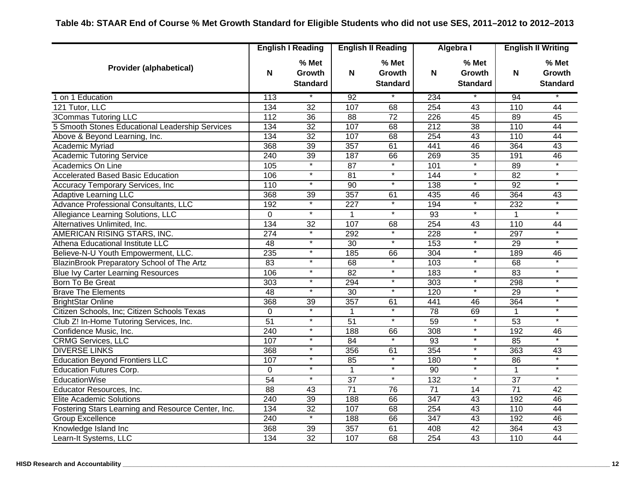|                                                    |                | <b>English I Reading</b>           |                  | <b>English II Reading</b>                 |                  | Algebra I                                 |                 | <b>English II Writing</b>                 |
|----------------------------------------------------|----------------|------------------------------------|------------------|-------------------------------------------|------------------|-------------------------------------------|-----------------|-------------------------------------------|
| <b>Provider (alphabetical)</b>                     | N              | % Met<br>Growth<br><b>Standard</b> | N                | % Met<br><b>Growth</b><br><b>Standard</b> | N                | % Met<br><b>Growth</b><br><b>Standard</b> | N               | % Met<br><b>Growth</b><br><b>Standard</b> |
| 1 on 1 Education                                   | 113            |                                    | 92               | $\ast$                                    | 234              |                                           | 94              |                                           |
| 121 Tutor, LLC                                     | 134            | $\overline{32}$                    | 107              | 68                                        | 254              | 43                                        | 110             | 44                                        |
| <b>3Commas Tutoring LLC</b>                        | 112            | 36                                 | $\overline{88}$  | $\overline{72}$                           | $\overline{226}$ | $\overline{45}$                           | 89              | 45                                        |
| 5 Smooth Stones Educational Leadership Services    | 134            | 32                                 | 107              | 68                                        | $\overline{212}$ | 38                                        | 110             | 44                                        |
| Above & Beyond Learning, Inc.                      | 134            | $\overline{32}$                    | 107              | 68                                        | 254              | 43                                        | 110             | $\overline{44}$                           |
| <b>Academic Myriad</b>                             | 368            | 39                                 | 357              | 61                                        | 441              | 46                                        | 364             | 43                                        |
| <b>Academic Tutoring Service</b>                   | 240            | 39                                 | 187              | 66                                        | 269              | 35                                        | 191             | 46                                        |
| Academics On Line                                  | 105            | $\star$                            | 87               | $\star$                                   | 101              | $\star$                                   | 89              | $\overline{\ast}$                         |
| <b>Accelerated Based Basic Education</b>           | 106            | $\star$                            | 81               | $\ast$                                    | 144              | $\ast$                                    | 82              | $\overline{\ast}$                         |
| Accuracy Temporary Services, Inc                   | 110            | $\star$                            | $\overline{90}$  | $\ast$                                    | 138              | $\overline{\ast}$                         | 92              | $\star$                                   |
| <b>Adaptive Learning LLC</b>                       | 368            | 39                                 | 357              | 61                                        | 435              | 46                                        | 364             | 43                                        |
| Advance Professional Consultants, LLC              | 192            |                                    | 227              | $\ast$                                    | 194              |                                           | 232             |                                           |
| Allegiance Learning Solutions, LLC                 | $\overline{0}$ | $\overline{\ast}$                  | $\mathbf{1}$     | $\overline{\ast}$                         | 93               | $\overline{\ast}$                         | $\mathbf{1}$    | $\overline{\ast}$                         |
| Alternatives Unlimited, Inc.                       | 134            | 32                                 | 107              | 68                                        | 254              | 43                                        | 110             | 44                                        |
| AMERICAN RISING STARS, INC.                        | 274            | $\star$                            | 292              | $\overline{\ast}$                         | 228              | $\ast$                                    | 297             | $\overline{\ast}$                         |
| Athena Educational Institute LLC                   | 48             | $\star$                            | 30               | $\star$                                   | 153              | $\star$                                   | 29              | $\star$                                   |
| Believe-N-U Youth Empowerment, LLC.                | 235            | $\star$                            | 185              | 66                                        | 304              | $\star$                                   | 189             | 46                                        |
| BlazinBrook Preparatory School of The Artz         | 83             | $\star$                            | 68               | $\overline{\ast}$                         | 103              | $\overline{\ast}$                         | 68              |                                           |
| <b>Blue Ivy Carter Learning Resources</b>          | 106            | $\star$                            | 82               | $\star$                                   | 183              | $\star$                                   | $\overline{83}$ | $\star$                                   |
| Born To Be Great                                   | 303            | $\star$                            | 294              | $\ast$                                    | 303              | $\overline{\ast}$                         | 298             | $\star$                                   |
| <b>Brave The Elements</b>                          | 48             | $\ast$                             | 30               | $\ast$                                    | 120              | $\ast$                                    | 29              | $\ast$                                    |
| <b>BrightStar Online</b>                           | 368            | 39                                 | 357              | 61                                        | 441              | 46                                        | 364             | $\ast$                                    |
| Citizen Schools, Inc; Citizen Schools Texas        | 0              |                                    | $\mathbf 1$      | $\ast$                                    | 78               | 69                                        | $\mathbf{1}$    | $\ast$                                    |
| Club Z! In-Home Tutoring Services, Inc.            | 51             | $\star$                            | 51               | $\overline{\ast}$                         | 59               | $^\star$                                  | 53              | $\overline{\ast}$                         |
| Confidence Music, Inc.                             | 240            | $\ast$                             | 188              | 66                                        | 308              | $\overline{\ast}$                         | 192             | 46                                        |
| <b>CRMG Services, LLC</b>                          | 107            | $\overline{\ast}$                  | 84               | $\overline{\cdot}$                        | 93               | $\overline{\ast}$                         | 85              | $\overline{\ast}$                         |
| <b>DIVERSE LINKS</b>                               | 368            | $\star$                            | 356              | 61                                        | 354              | $\star$                                   | 363             | 43                                        |
| <b>Education Beyond Frontiers LLC</b>              | 107            | $\star$                            | 85               | $\star$                                   | 180              | $\star$                                   | 86              |                                           |
| <b>Education Futures Corp.</b>                     | $\overline{0}$ | $\ast$                             | $\overline{1}$   | $\overline{\ast}$                         | 90               | $\ast$                                    | $\mathbf{1}$    | $\overline{\ast}$                         |
| <b>EducationWise</b>                               | 54             | $\star$                            | $\overline{37}$  | $\ast$                                    | $\overline{132}$ | $\ast$                                    | $\overline{37}$ | $\overline{\ast}$                         |
| Educator Resources, Inc.                           | 88             | 43                                 | $\overline{71}$  | 76                                        | $\overline{71}$  | 14                                        | $\overline{71}$ | 42                                        |
| <b>Elite Academic Solutions</b>                    | 240            | 39                                 | 188              | 66                                        | 347              | 43                                        | 192             | 46                                        |
| Fostering Stars Learning and Resource Center, Inc. | 134            | 32                                 | 107              | 68                                        | 254              | 43                                        | 110             | 44                                        |
| <b>Group Excellence</b>                            | 240            | $\star$                            | 188              | 66                                        | 347              | 43                                        | 192             | 46                                        |
| Knowledge Island Inc                               | 368            | 39                                 | $\overline{357}$ | 61                                        | 408              | 42                                        | 364             | 43                                        |
| Learn-It Systems, LLC                              | 134            | $\overline{32}$                    | 107              | 68                                        | 254              | $\overline{43}$                           | 110             | 44                                        |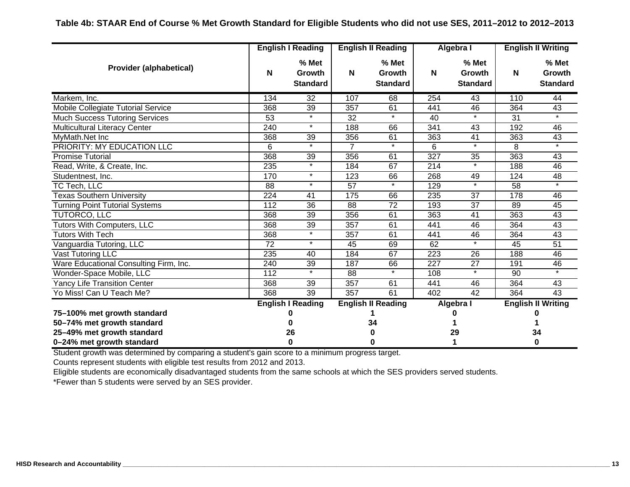|                                        |                  | <b>English I Reading</b>           | <b>English II Reading</b> |                                    |     | Algebra I                          | <b>English II Writing</b> |                                    |
|----------------------------------------|------------------|------------------------------------|---------------------------|------------------------------------|-----|------------------------------------|---------------------------|------------------------------------|
| <b>Provider (alphabetical)</b>         | N                | % Met<br>Growth<br><b>Standard</b> | N                         | % Met<br>Growth<br><b>Standard</b> | N   | % Met<br>Growth<br><b>Standard</b> | N                         | % Met<br>Growth<br><b>Standard</b> |
| Markem, Inc.                           | 134              | 32                                 | 107                       | 68                                 | 254 | 43                                 | 110                       | 44                                 |
| Mobile Collegiate Tutorial Service     | 368              | 39                                 | 357                       | 61                                 | 441 | 46                                 | 364                       | 43                                 |
| <b>Much Success Tutoring Services</b>  | 53               | $\star$                            | 32                        | $\star$                            | 40  | $\star$                            | 31                        | $\ast$                             |
| <b>Multicultural Literacy Center</b>   | 240              | $\star$                            | 188                       | 66                                 | 341 | 43                                 | 192                       | 46                                 |
| MyMath.Net Inc                         | 368              | 39                                 | 356                       | 61                                 | 363 | 41                                 | 363                       | 43                                 |
| PRIORITY: MY EDUCATION LLC             | $\overline{6}$   | $\star$                            | $\overline{7}$            | $\ast$                             | 6   | $\star$                            | 8                         | $\overline{\ast}$                  |
| <b>Promise Tutorial</b>                | 368              | 39                                 | 356                       | 61                                 | 327 | 35                                 | 363                       | 43                                 |
| Read, Write, & Create, Inc.            | 235              | $\star$                            | 184                       | 67                                 | 214 | $\ast$                             | 188                       | 46                                 |
| Studentnest, Inc.                      | 170              | $\star$                            | 123                       | 66                                 | 268 | 49                                 | 124                       | 48                                 |
| TC Tech, LLC                           | 88               | $\star$                            | 57                        | $\star$                            | 129 | $\star$                            | 58                        | $\star$                            |
| <b>Texas Southern University</b>       | 224              | 41                                 | 175                       | 66                                 | 235 | 37                                 | 178                       | 46                                 |
| <b>Turning Point Tutorial Systems</b>  | 112              | 36                                 | 88                        | 72                                 | 193 | 37                                 | 89                        | 45                                 |
| <b>TUTORCO, LLC</b>                    | 368              | 39                                 | 356                       | 61                                 | 363 | 41                                 | 363                       | 43                                 |
| <b>Tutors With Computers, LLC</b>      | 368              | 39                                 | 357                       | 61                                 | 441 | 46                                 | 364                       | 43                                 |
| Tutors With Tech                       | 368              | $\star$                            | 357                       | 61                                 | 441 | 46                                 | 364                       | 43                                 |
| Vanguardia Tutoring, LLC               | $\overline{72}$  | $\star$                            | 45                        | 69                                 | 62  | $\star$                            | 45                        | 51                                 |
| Vast Tutoring LLC                      | 235              | 40                                 | 184                       | 67                                 | 223 | 26                                 | 188                       | 46                                 |
| Ware Educational Consulting Firm, Inc. | 240              | 39                                 | 187                       | 66                                 | 227 | 27                                 | 191                       | 46                                 |
| Wonder-Space Mobile, LLC               | $\overline{112}$ | $\star$                            | 88                        | $\ast$                             | 108 | $\star$                            | 90                        | $\ast$                             |
| <b>Yancy Life Transition Center</b>    | 368              | 39                                 | 357                       | 61                                 | 441 | 46                                 | 364                       | 43                                 |
| Yo Miss! Can U Teach Me?               | 368              | $\overline{39}$                    | 357                       | 61                                 | 402 | $\overline{42}$                    | 364                       | $\overline{43}$                    |
|                                        |                  | <b>English I Reading</b>           |                           | <b>English II Reading</b>          |     | Algebra I                          |                           | <b>English II Writing</b>          |
| 75-100% met growth standard            |                  |                                    |                           |                                    |     |                                    |                           |                                    |
| 50-74% met growth standard             |                  |                                    |                           | 34                                 |     |                                    |                           |                                    |
| 25-49% met growth standard             |                  | 26                                 |                           |                                    |     | 29                                 |                           | 34                                 |
| 0-24% met growth standard              |                  | O                                  |                           |                                    |     |                                    |                           | 0                                  |

Student growth was determined by comparing a student's gain score to a minimum progress target.

Counts represent students with eligible test results from 2012 and 2013.

Eligible students are economically disadvantaged students from the same schools at which the SES providers served students.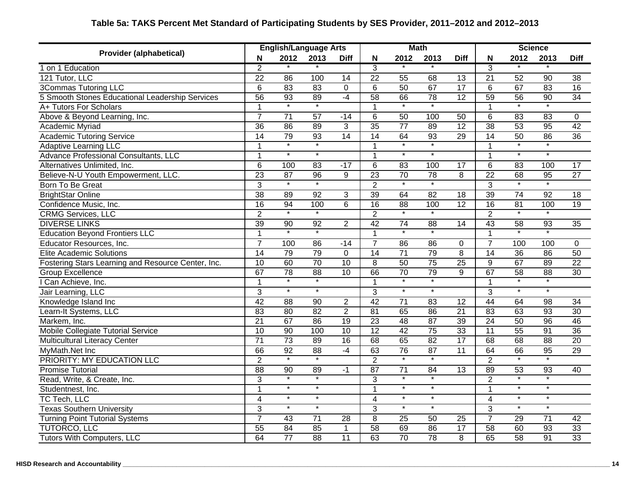| <b>Provider (alphabetical)</b>                     |                 | <b>English/Language Arts</b> |                          |                 |                         |                    | <b>Math</b>              |                 | <b>Science</b>  |                    |                          |                 |
|----------------------------------------------------|-----------------|------------------------------|--------------------------|-----------------|-------------------------|--------------------|--------------------------|-----------------|-----------------|--------------------|--------------------------|-----------------|
|                                                    | N               | 2012                         | 2013                     | <b>Diff</b>     | N                       | 2012               | 2013                     | <b>Diff</b>     | N               | 2012               | 2013                     | <b>Diff</b>     |
| 1 on 1 Education                                   | $\overline{2}$  |                              |                          |                 | $\overline{3}$          |                    |                          |                 | $\overline{3}$  |                    |                          |                 |
| 121 Tutor, LLC                                     | $\overline{22}$ | $\overline{86}$              | 100                      | $\overline{14}$ | $\overline{22}$         | $\overline{55}$    | 68                       | $\overline{13}$ | $\overline{21}$ | $\overline{52}$    | $\overline{90}$          | $\overline{38}$ |
| <b>3Commas Tutoring LLC</b>                        | $\overline{6}$  | 83                           | 83                       | $\overline{0}$  | $\overline{6}$          | 50                 | 67                       | 17              | 6               | 67                 | 83                       | 16              |
| 5 Smooth Stones Educational Leadership Services    | 56              | 93                           | 89                       | $-4$            | 58                      | 66                 | 78                       | 12              | 59              | $\overline{56}$    | $\overline{90}$          | $\overline{34}$ |
| A+ Tutors For Scholars                             | $\overline{1}$  | $\overline{\cdot}$           | $\overline{\cdot}$       |                 | $\mathbf{1}$            | $\overline{\ast}$  |                          |                 | $\mathbf{1}$    | $\overline{\ast}$  |                          |                 |
| Above & Beyond Learning, Inc.                      | $\overline{7}$  | $\overline{71}$              | $\overline{57}$          | $-14$           | 6                       | 50                 | 100                      | 50              | 6               | 83                 | 83                       | 0               |
| Academic Myriad                                    | $\overline{36}$ | 86                           | 89                       | $\overline{3}$  | $\overline{35}$         | $\overline{77}$    | 89                       | $\overline{12}$ | $\overline{38}$ | 53                 | $\overline{95}$          | $\overline{42}$ |
| <b>Academic Tutoring Service</b>                   | 14              | 79                           | 93                       | $\overline{14}$ | 14                      | 64                 | 93                       | 29              | 14              | 50                 | $\overline{86}$          | $\overline{36}$ |
| <b>Adaptive Learning LLC</b>                       | -1              | $\star$                      | $\star$                  |                 | $\mathbf 1$             | $\ast$             |                          |                 | 1               | $\star$            |                          |                 |
| Advance Professional Consultants, LLC              | 1               | $\ast$                       | $\ast$                   |                 | 1                       | $\ast$             | $\overline{\phantom{a}}$ |                 | 1               | $\ast$             | $\star$                  |                 |
| Alternatives Unlimited, Inc.                       | $\overline{6}$  | 100                          | $\overline{83}$          | $-17$           | 6                       | 83                 | 100                      | 17              | 6               | 83                 | 100                      | $\overline{17}$ |
| Believe-N-U Youth Empowerment, LLC.                | 23              | 87                           | 96                       | $\overline{9}$  | 23                      | 70                 | 78                       | 8               | $\overline{22}$ | 68                 | $\overline{95}$          | $\overline{27}$ |
| <b>Born To Be Great</b>                            | $\overline{3}$  | $\ast$                       | $\ast$                   |                 | $\overline{2}$          | $\ast$             | $\ast$                   |                 | 3               | $\star$            | $\ast$                   |                 |
| <b>BrightStar Online</b>                           | 38              | 89                           | 92                       | 3               | 39                      | 64                 | 82                       | 18              | 39              | 74                 | 92                       | 18              |
| Confidence Music, Inc.                             | 16              | 94                           | 100                      | 6               | 16                      | $\overline{88}$    | 100                      | $\overline{12}$ | 16              | 81                 | 100                      | 19              |
| <b>CRMG Services, LLC</b>                          | $\overline{2}$  | $\overline{\cdot}$           | $\overline{\phantom{a}}$ |                 | $\overline{2}$          | $\overline{\cdot}$ |                          |                 | $\overline{2}$  | $\overline{\ast}$  | $\overline{\phantom{a}}$ |                 |
| <b>DIVERSE LINKS</b>                               | 39              | $\overline{90}$              | 92                       | $\overline{2}$  | 42                      | $\overline{74}$    | $\overline{88}$          | $\overline{14}$ | 43              | $\overline{58}$    | $\overline{93}$          | $\overline{35}$ |
| <b>Education Beyond Frontiers LLC</b>              | $\mathbf{1}$    | $\overline{\phantom{a}}$     | $\star$                  |                 | $\overline{1}$          | $\star$            | $\star$                  |                 | 1               | $\star$            | $\overline{\phantom{a}}$ |                 |
| Educator Resources, Inc.                           | $\overline{7}$  | 100                          | $\overline{86}$          | $-14$           | $\overline{7}$          | $\overline{86}$    | 86                       | $\Omega$        | $\overline{7}$  | 100                | 100                      | 0               |
| <b>Elite Academic Solutions</b>                    | 14              | 79                           | 79                       | $\Omega$        | 14                      | $\overline{71}$    | 79                       | 8               | 14              | $\overline{36}$    | 86                       | 50              |
| Fostering Stars Learning and Resource Center, Inc. | 10              | 60                           | 70                       | $\overline{10}$ | 8                       | 50                 | $\overline{75}$          | $\overline{25}$ | $9\,$           | 67                 | 89                       | $\overline{22}$ |
| <b>Group Excellence</b>                            | 67              | 78                           | 88                       | 10              | 66                      | 70                 | 79                       | 9               | 67              | 58                 | 88                       | 30              |
| I Can Achieve, Inc.                                | 1               | $\ast$                       | $\star$                  |                 | $\mathbf{1}$            |                    | $\star$                  |                 | $\mathbf{1}$    | $\star$            |                          |                 |
| Jair Learning, LLC                                 | $\overline{3}$  | $\ast$                       | $\ast$                   |                 | $\overline{3}$          | $\ast$             | $\ast$                   |                 | $\overline{3}$  | $\ast$             | $\ast$                   |                 |
| Knowledge Island Inc                               | 42              | $\overline{88}$              | $\overline{90}$          | $\overline{c}$  | 42                      | $\overline{71}$    | 83                       | 12              | $\overline{44}$ | 64                 | $\overline{98}$          | 34              |
| Learn-It Systems, LLC                              | $\overline{83}$ | $\overline{80}$              | $\overline{82}$          | $\overline{2}$  | 81                      | 65                 | 86                       | 21              | $\overline{83}$ | 63                 | 93                       | 30              |
| Markem, Inc.                                       | $\overline{21}$ | 67                           | 86                       | 19              | 23                      | 48                 | 87                       | $\overline{39}$ | $\overline{24}$ | 50                 | 96                       | 46              |
| Mobile Collegiate Tutorial Service                 | $\overline{10}$ | 90                           | 100                      | 10              | 12                      | 42                 | $\overline{75}$          | 33              | 11              | 55                 | 91                       | 36              |
| Multicultural Literacy Center                      | $\overline{71}$ | $\overline{73}$              | 89                       | 16              | 68                      | 65                 | 82                       | 17              | 68              | 68                 | 88                       | 20              |
| MyMath.Net Inc                                     | 66              | 92                           | 88                       | $-4$            | 63                      | $\overline{76}$    | 87                       | 11              | 64              | 66                 | 95                       | 29              |
| PRIORITY: MY EDUCATION LLC                         | $\overline{2}$  | $\overline{\ast}$            | $\star$                  |                 | $\overline{2}$          |                    | $\star$                  |                 | $\overline{2}$  | $\overline{\ast}$  | $\overline{\ast}$        |                 |
| <b>Promise Tutorial</b>                            | $\overline{88}$ | 90                           | 89                       | $-1$            | $\overline{87}$         | $\overline{71}$    | 84                       | 13              | 89              | $\overline{53}$    | 93                       | 40              |
| Read, Write, & Create, Inc.                        | $\overline{3}$  | $\overline{\cdot}$           | $\overline{\ast}$        |                 | $\overline{3}$          | $\overline{\cdot}$ | $\overline{\ast}$        |                 | $\overline{2}$  | $\overline{\cdot}$ | $\overline{\ast}$        |                 |
| Studentnest, Inc.                                  | $\mathbf{1}$    | $\star$                      | $\star$                  |                 | $\mathbf{1}$            | $\star$            | $\star$                  |                 | $\mathbf{1}$    | $\star$            | $\star$                  |                 |
| <b>TC Tech, LLC</b>                                | 4               | $\overline{\phantom{a}}$     | $\ast$                   |                 | $\overline{\mathbf{4}}$ | $\ast$             | $\ast$                   |                 | 4               | $\star$            | $\ast$                   |                 |
| <b>Texas Southern University</b>                   | 3               | $\ast$                       | $\star$                  |                 | 3                       | $\ast$             | $\star$                  |                 | 3               | $\star$            | $\star$                  |                 |
| <b>Turning Point Tutorial Systems</b>              | $\overline{7}$  | 43                           | $\overline{71}$          | 28              | 8                       | 25                 | 50                       | 25              | $\overline{7}$  | 29                 | $\overline{71}$          | 42              |
| <b>TUTORCO, LLC</b>                                | 55              | 84                           | 85                       | $\overline{1}$  | 58                      | 69                 | 86                       | $\overline{17}$ | 58              | 60                 | 93                       | 33              |
| <b>Tutors With Computers, LLC</b>                  | 64              | $\overline{77}$              | 88                       | 11              | 63                      | 70                 | 78                       | $\overline{8}$  | 65              | 58                 | 91                       | 33              |

# **Table 5a: TAKS Percent Met Standard of Participating Students by SES Provider, 2011–2012 and 2012–2013**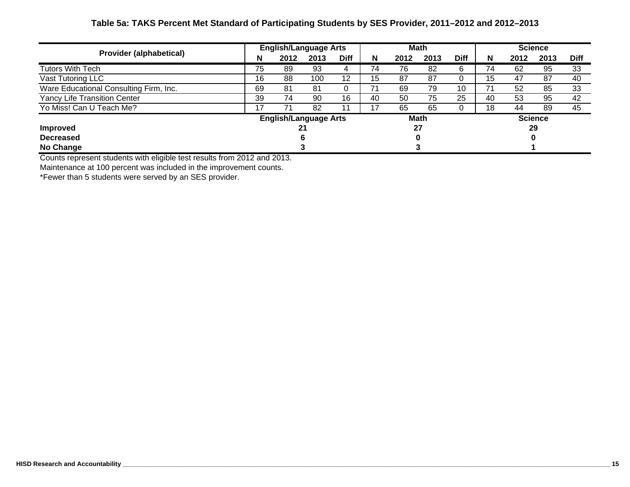## **Table 5a: TAKS Percent Met Standard of Participating Students by SES Provider, 2011–2012 and 2012–2013**

| <b>Provider (alphabetical)</b>         | <b>English/Language Arts</b> |      |      |             | <b>Math</b> |      |             |             | <b>Science</b> |      |      |             |
|----------------------------------------|------------------------------|------|------|-------------|-------------|------|-------------|-------------|----------------|------|------|-------------|
|                                        | N                            | 2012 | 2013 | <b>Diff</b> | N           | 2012 | 2013        | <b>Diff</b> | N              | 2012 | 2013 | <b>Diff</b> |
| Tutors With Tech                       | 75                           | 89   | 93   |             | 74          | 76   | 82          | 6           | 74             | 62   | 95   | 33          |
| Vast Tutoring LLC                      | 16                           | 88   | 100  | 12          | 15          | 87   | 87          |             | 15             | 47   | 87   | 40          |
| Ware Educational Consulting Firm, Inc. | 69                           | 81   | 81   |             |             | 69   | 79          | 10          |                | 52   | 85   | 33          |
| <b>Yancy Life Transition Center</b>    | 39                           | 74   | 90   | 16          | -40         | 50   | 75          | 25          | 40             | 53   | 95   | 42          |
| Yo Miss! Can U Teach Me?               | 17                           | 71   | 82   |             | 17          | 65   | 65          |             | 18             | 44   | 89   | 45          |
|                                        | <b>English/Language Arts</b> |      |      |             |             |      | <b>Math</b> |             | <b>Science</b> |      |      |             |
| <b>Improved</b>                        |                              |      |      |             | 27          |      |             |             | 29             |      |      |             |
| <b>Decreased</b>                       |                              |      |      |             |             |      |             |             |                |      |      |             |
| No Change                              |                              |      |      |             |             |      |             |             |                |      |      |             |

Counts represent students with eligible test results from 2012 and 2013.

Maintenance at 100 percent was included in the improvement counts.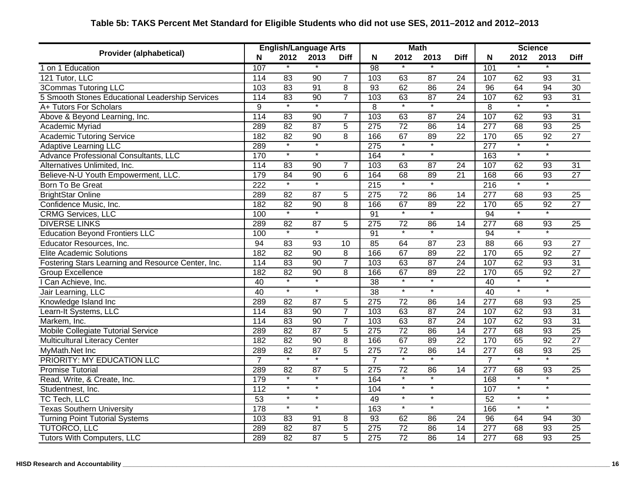#### **N 2012 2013 Diff N 2012 2013 Diff N 2012 2013 Diff**1 on 1 Education 107 \* \* 1 98 \* \* 101 121 Tutor, LLC | 114 83 90 7 | 103 63 87 24 | 107 62 93 31 3Commas Tutoring LLC 103 83 91 8 93 62 86 24 96 64 94 30 5 Smooth Stones Educational Leadership Services | 114 83 90 7 | 103 63 87 24 | 107 62 93 31 A+ Tutors For Scholars 9 \* \* 8 \* \* 8 \* \*Above & Beyond Learning, Inc. | 114 83 90 7 | 103 63 87 24 | 107 62 93 31 Academic Myriad | 289 82 87 5 | 275 72 86 14 | 277 68 93 25 Academic Tutoring Service 182 182 82 92 8 | 166 67 89 22 | 170 65 92 27 Adaptive Learning LLC 289 \* \* 275 \* \* 277 \* \* Advance Professional Consultants, LLC 170 \* \* 164 \* \* 163 \* Alternatives Unlimited, Inc. 114 83 90 7 103 63 87 24 107 62 93 31 Believe-N-U Youth Empowerment, LLC. 179 84 90 6 | 164 68 89 21 | 168 66 93 27 Born To Be Great 222 \* \* 222 \* \* 215 \* \* 216 \* \* \* BrightStar Online | 289 82 87 5 | 275 72 86 14 | 277 68 93 25 Confidence Music, Inc. 182 82 90 8 166 67 89 22 170 65 92 27 CRMG Services, LLC 100 \* \* 91 \* \* 94 \* DIVERSE LINKS 289 82 87 5 275 72 86 14 277 68 93 25 $25$ Education Beyond Frontiers LLC 100 \* \* \* 91 \* \* 94 \* Educator Resources, Inc. 27 | 84 | 84 | 83 | 93 | 10 | 85 | 64 | 87 | 23 | 88 | 66 | 93 | 27 Elite Academic Solutions 182 82 90 8 166 67 89 22 170 65 92 27Fostering Stars Learning and Resource Center, Inc. | 114 83 90 7 | 103 63 87 24 | 107 62 93 31 Group Excellence 182 182 82 90 8 | 166 67 89 22 | 170 65 92 27 I Can Achieve, Inc. 40 \* \* 38 \* \* 40 \* \* Jair Learning, LLC 40 \* \* 38 \* \* 40 \* \* Knowledge Island Inc **289 1289 82 87** 5 275 72 86 14 277 68 93 25 Learn-It Systems, LLC **114 83 90 7** 103 63 87 24 107 62 93 31 Markem, Inc. | 114 83 90 7 | 103 63 87 24 | 107 62 93 31 Mobile Collegiate Tutorial Service 25 289 82 87 5 275 72 86 14 277 68 93 25 Multicultural Literacy Center 182 182 82 90 8 | 166 67 89 22 | 170 65 92 27 MyMath.Net Inc 289 82 87 5 275 72 86 14 277 68 93 25 PRIORITY: MY EDUCATION LLC  $\begin{array}{cccccccc} 7 & * & * & * & * & * & * & * \\ \end{array}$ Promise Tutorial 289 82 87 5 275 72 86 14 277 68 93 25 Read, Write, & Create, Inc. 179 \* \* 164 \* \* 168 \* \* Studentnest, Inc. \* \* 112 \* \* \* 107 \* \* \* 107 \* \* \* TC Tech, LLC | 53 \* \* | 49 \* \* | 52 \* \* Texas Southern University 1990 1990 1991 178 \* \* \* 1990 103 \* \* \* 1990 166 \* \* \* Turning Point Tutorial Systems 103 83 91 8 93 62 86 24 96 64 94 30 TUTORCO, LLC 289 82 87 5 275 72 86 14 277 68 93 25 Tutors With Computers, LLC 289 82 87 5 275 72 86 14 277 68 93 25 **ScienceProvider (alphabetical) English/Language Arts Math**<br>**Provider (alphabetical) Number 2010 Different Number 2010 0010 0010**

## **Table 5b: TAKS Percent Met Standard for Eligible Students who did not use SES, 2011–2012 and 2012–2013**